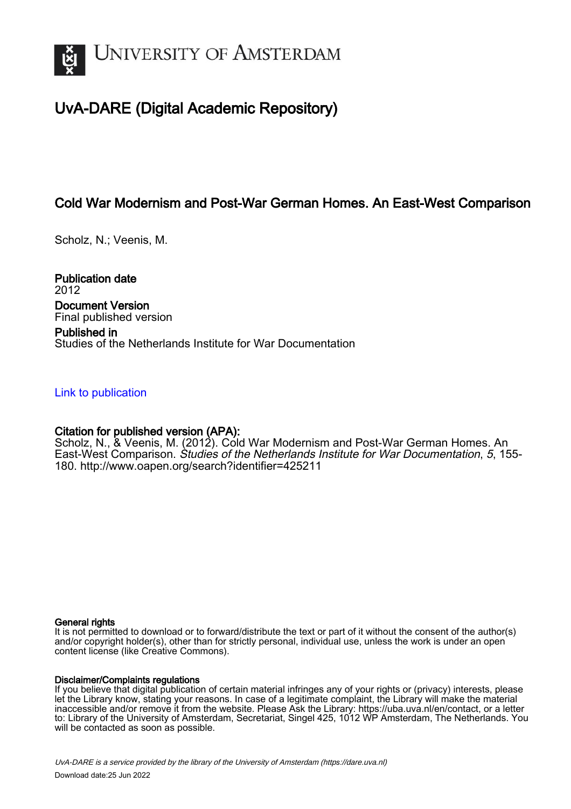

## UvA-DARE (Digital Academic Repository)

## Cold War Modernism and Post-War German Homes. An East-West Comparison

Scholz, N.; Veenis, M.

Publication date 2012 Document Version Final published version

Published in Studies of the Netherlands Institute for War Documentation

### [Link to publication](https://dare.uva.nl/personal/pure/en/publications/cold-war-modernism-and-postwar-german-homes-an-eastwest-comparison(79f06006-0180-497e-94b0-29e008dc8466).html)

### Citation for published version (APA):

Scholz, N., & Veenis, M. (2012). Cold War Modernism and Post-War German Homes. An East-West Comparison. Studies of the Netherlands Institute for War Documentation, 5, 155- 180. <http://www.oapen.org/search?identifier=425211>

### General rights

It is not permitted to download or to forward/distribute the text or part of it without the consent of the author(s) and/or copyright holder(s), other than for strictly personal, individual use, unless the work is under an open content license (like Creative Commons).

### Disclaimer/Complaints regulations

If you believe that digital publication of certain material infringes any of your rights or (privacy) interests, please let the Library know, stating your reasons. In case of a legitimate complaint, the Library will make the material inaccessible and/or remove it from the website. Please Ask the Library: https://uba.uva.nl/en/contact, or a letter to: Library of the University of Amsterdam, Secretariat, Singel 425, 1012 WP Amsterdam, The Netherlands. You will be contacted as soon as possible.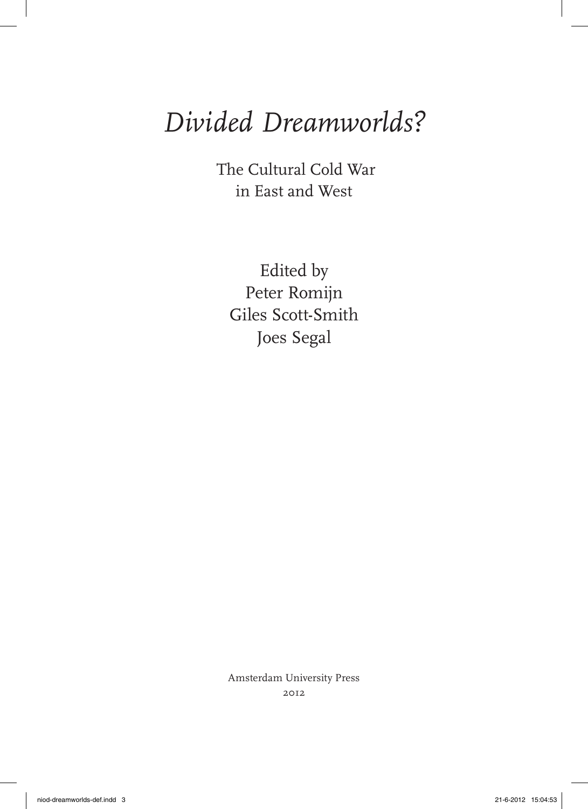# *Divided Dreamworlds?*

 The Cultural Cold War in East and West

Edited by Peter Romijn Giles Scott-Smith Joes Segal

Amsterdam University Press 2012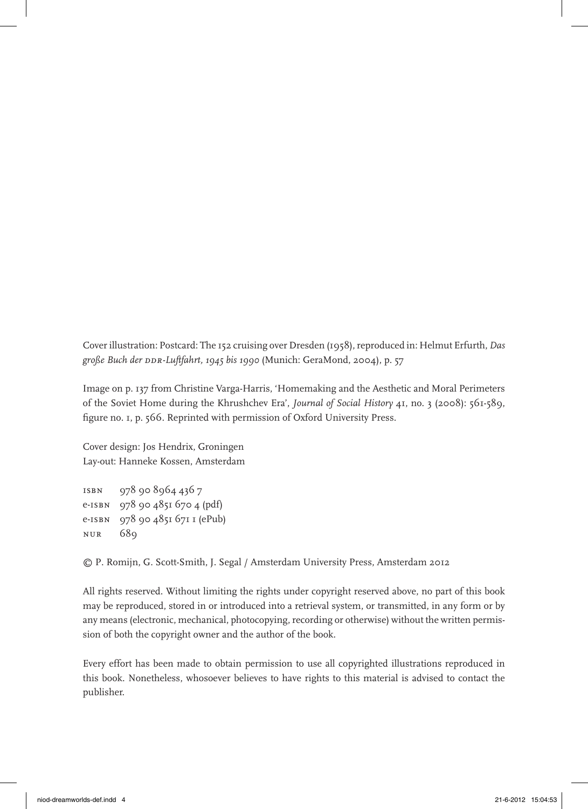Cover illustration: Postcard: The 152 cruising over Dresden (1958), reproduced in: Helmut Erfurth, *Das große Buch der ddr-Luftfahrt, 1945 bis 1990* (Munich: GeraMond, 2004), p. 57

Image on p. 137 from Christine Varga-Harris, 'Homemaking and the Aesthetic and Moral Perimeters of the Soviet Home during the Khrushchev Era', *Journal of Social History* 41, no. 3 (2008): 561-589, figure no. 1, p. 566. Reprinted with permission of Oxford University Press.

Cover design: Jos Hendrix, Groningen Lay-out: Hanneke Kossen, Amsterdam

isbn 978 90 8964 436 7 e-isbn 978 90 4851 670 4 (pdf) e-isbn 978 90 4851 671 1 (ePub) nur 689

© P. Romijn, G. Scott-Smith, J. Segal / Amsterdam University Press, Amsterdam 2012

All rights reserved. Without limiting the rights under copyright reserved above, no part of this book may be reproduced, stored in or introduced into a retrieval system, or transmitted, in any form or by any means (electronic, mechanical, photocopying, recording or otherwise) without the written permission of both the copyright owner and the author of the book.

Every effort has been made to obtain permission to use all copyrighted illustrations reproduced in this book. Nonetheless, whosoever believes to have rights to this material is advised to contact the publisher.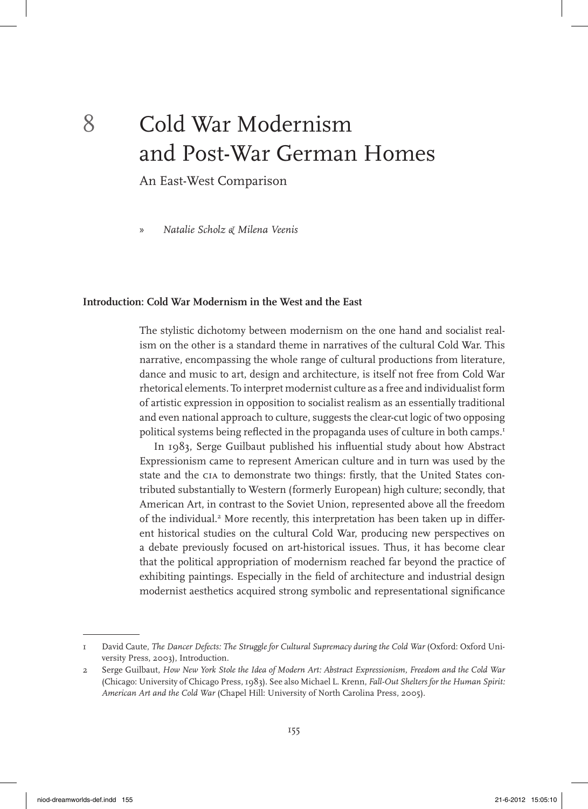# 8 Cold War Modernism and Post-War German Homes

An East-West Comparison

» *Natalie Scholz & Milena Veenis*

#### **Introduction: Cold War Modernism in the West and the East**

The stylistic dichotomy between modernism on the one hand and socialist realism on the other is a standard theme in narratives of the cultural Cold War. This narrative, encompassing the whole range of cultural productions from literature, dance and music to art, design and architecture, is itself not free from Cold War rhetorical elements. To interpret modernist culture as a free and individualist form of artistic expression in opposition to socialist realism as an essentially traditional and even national approach to culture, suggests the clear-cut logic of two opposing political systems being reflected in the propaganda uses of culture in both camps.<sup>1</sup>

In 1983, Serge Guilbaut published his influential study about how Abstract Expressionism came to represent American culture and in turn was used by the state and the cia to demonstrate two things: firstly, that the United States contributed substantially to Western (formerly European) high culture; secondly, that American Art, in contrast to the Soviet Union, represented above all the freedom of the individual.<sup>2</sup> More recently, this interpretation has been taken up in different historical studies on the cultural Cold War, producing new perspectives on a debate previously focused on art-historical issues. Thus, it has become clear that the political appropriation of modernism reached far beyond the practice of exhibiting paintings. Especially in the field of architecture and industrial design modernist aesthetics acquired strong symbolic and representational significance

155

<sup>1</sup> David Caute, *The Dancer Defects: The Struggle for Cultural Supremacy during the Cold War* (Oxford: Oxford University Press, 2003), Introduction.

<sup>2</sup> Serge Guilbaut, *How New York Stole the Idea of Modern Art: Abstract Expressionism, Freedom and the Cold War* (Chicago: University of Chicago Press, 1983). See also Michael L. Krenn, *Fall-Out Shelters for the Human Spirit: American Art and the Cold War* (Chapel Hill: University of North Carolina Press, 2005).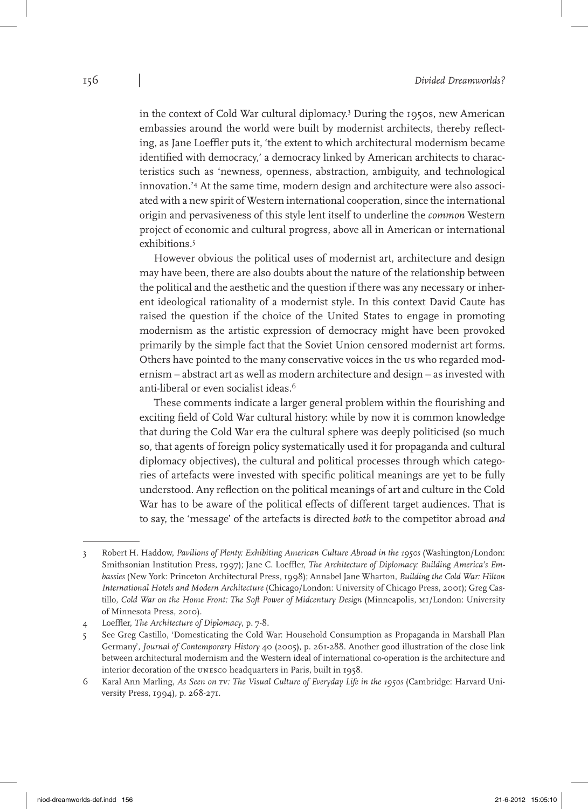in the context of Cold War cultural diplomacy.3 During the 1950s, new American embassies around the world were built by modernist architects, thereby reflecting, as Jane Loeffler puts it, 'the extent to which architectural modernism became identified with democracy,' a democracy linked by American architects to characteristics such as 'newness, openness, abstraction, ambiguity, and technological innovation.'4 At the same time, modern design and architecture were also associated with a new spirit of Western international cooperation, since the international origin and pervasiveness of this style lent itself to underline the *common* Western project of economic and cultural progress, above all in American or international exhibitions.5

However obvious the political uses of modernist art, architecture and design may have been, there are also doubts about the nature of the relationship between the political and the aesthetic and the question if there was any necessary or inherent ideological rationality of a modernist style*.* In this context David Caute has raised the question if the choice of the United States to engage in promoting modernism as the artistic expression of democracy might have been provoked primarily by the simple fact that the Soviet Union censored modernist art forms. Others have pointed to the many conservative voices in the us who regarded modernism – abstract art as well as modern architecture and design – as invested with anti-liberal or even socialist ideas.6

These comments indicate a larger general problem within the flourishing and exciting field of Cold War cultural history: while by now it is common knowledge that during the Cold War era the cultural sphere was deeply politicised (so much so, that agents of foreign policy systematically used it for propaganda and cultural diplomacy objectives), the cultural and political processes through which categories of artefacts were invested with specific political meanings are yet to be fully understood. Any reflection on the political meanings of art and culture in the Cold War has to be aware of the political effects of different target audiences. That is to say, the 'message' of the artefacts is directed *both* to the competitor abroad *and*

<sup>3</sup> Robert H. Haddow, *Pavilions of Plenty: Exhibiting American Culture Abroad in the 1950s* (Washington/London: Smithsonian Institution Press, 1997); Jane C. Loeffler, *The Architecture of Diplomacy: Building America's Embassies* (New York: Princeton Architectural Press, 1998); Annabel Jane Wharton, *Building the Cold War: Hilton International Hotels and Modern Architecture* (Chicago/London: University of Chicago Press, 2001); Greg Castillo, *Cold War on the Home Front: The Soft Power of Midcentury Design* (Minneapolis, mi/London: University of Minnesota Press, 2010).

<sup>4</sup> Loeffler, *The Architecture of Diplomacy*, p. 7-8.

<sup>5</sup> See Greg Castillo, 'Domesticating the Cold War: Household Consumption as Propaganda in Marshall Plan Germany', *Journal of Contemporary History* 40 (2005), p. 261-288. Another good illustration of the close link between architectural modernism and the Western ideal of international co-operation is the architecture and interior decoration of the unesco headquarters in Paris, built in 1958.

<sup>6</sup> Karal Ann Marling, *As Seen on tv: The Visual Culture of Everyday Life in the 1950s* (Cambridge: Harvard University Press, 1994), p. 268-271.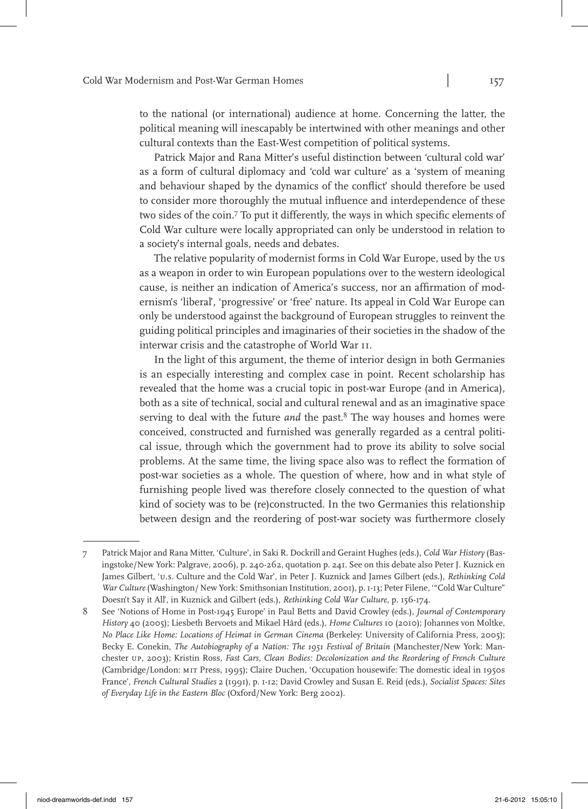to the national (or international) audience at home. Concerning the latter, the political meaning will inescapably be intertwined with other meanings and other cultural contexts than the East-West competition of political systems.

Patrick Major and Rana Mitter's useful distinction between 'cultural cold war' as a form of cultural diplomacy and 'cold war culture' as a 'system of meaning and behaviour shaped by the dynamics of the conflict' should therefore be used to consider more thoroughly the mutual influence and interdependence of these two sides of the coin.7 To put it differently, the ways in which specific elements of Cold War culture were locally appropriated can only be understood in relation to a society's internal goals, needs and debates.

The relative popularity of modernist forms in Cold War Europe, used by the us as a weapon in order to win European populations over to the western ideological cause, is neither an indication of America's success, nor an affirmation of modernism's 'liberal', 'progressive' or 'free' nature. Its appeal in Cold War Europe can only be understood against the background of European struggles to reinvent the guiding political principles and imaginaries of their societies in the shadow of the interwar crisis and the catastrophe of World War ii.

In the light of this argument, the theme of interior design in both Germanies is an especially interesting and complex case in point. Recent scholarship has revealed that the home was a crucial topic in post-war Europe (and in America), both as a site of technical, social and cultural renewal and as an imaginative space serving to deal with the future *and* the past.<sup>8</sup> The way houses and homes were conceived, constructed and furnished was generally regarded as a central political issue, through which the government had to prove its ability to solve social problems. At the same time, the living space also was to reflect the formation of post-war societies as a whole. The question of where, how and in what style of furnishing people lived was therefore closely connected to the question of what kind of society was to be (re)constructed. In the two Germanies this relationship between design and the reordering of post-war society was furthermore closely

<sup>7</sup> Patrick Major and Rana Mitter, 'Culture', in Saki R. Dockrill and Geraint Hughes (eds.), *Cold War History* (Basingstoke/New York: Palgrave, 2006), p. 240-262, quotation p. 241. See on this debate also Peter J. Kuznick en James Gilbert, 'u.s. Culture and the Cold War', in Peter J. Kuznick and James Gilbert (eds.), *Rethinking Cold War Culture* (Washington/ New York: Smithsonian Institution, 2001), p. 1-13; Peter Filene, '"Cold War Culture" Doesn't Say it All', in Kuznick and Gilbert (eds.), *Rethinking Cold War Culture*, p. 156-174.

<sup>8</sup> See 'Notions of Home in Post-1945 Europe' in Paul Betts and David Crowley (eds.), *Journal of Contemporary History* 40 (2005); Liesbeth Bervoets and Mikael Hård (eds.), *Home Cultures* 10 (2010); Johannes von Moltke, *No Place Like Home: Locations of Heimat in German Cinema* (Berkeley: University of California Press, 2005); Becky E. Conekin, *The Autobiography of a Nation: The 1951 Festival of Britain* (Manchester/New York: Manchester up, 2003); Kristin Ross, *Fast Cars, Clean Bodies: Decolonization and the Reordering of French Culture* (Cambridge/London: mit Press, 1995); Claire Duchen, 'Occupation housewife: The domestic ideal in 1950s France', *French Cultural Studies* 2 (1991), p. 1-12; David Crowley and Susan E. Reid (eds.), *Socialist Spaces: Sites of Everyday Life in the Eastern Bloc* (Oxford/New York: Berg 2002).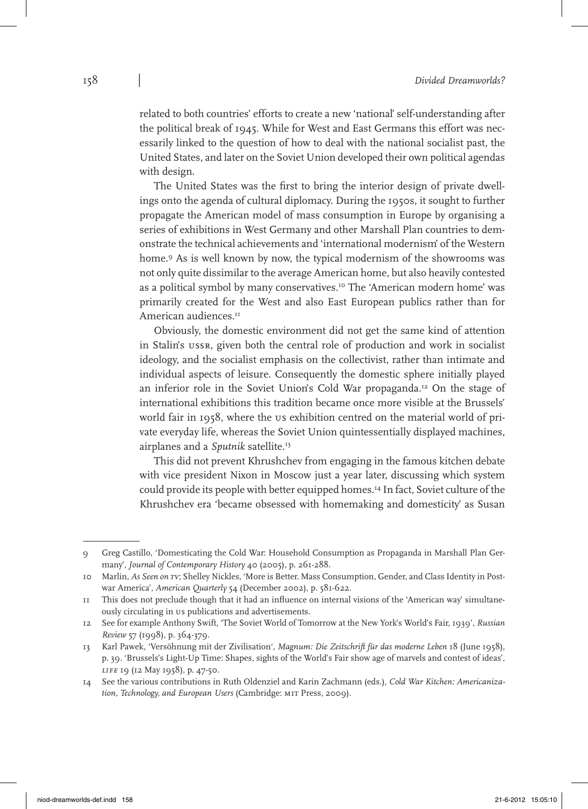related to both countries' efforts to create a new 'national' self-understanding after the political break of 1945. While for West and East Germans this effort was necessarily linked to the question of how to deal with the national socialist past, the United States, and later on the Soviet Union developed their own political agendas with design.

The United States was the first to bring the interior design of private dwellings onto the agenda of cultural diplomacy. During the 1950s, it sought to further propagate the American model of mass consumption in Europe by organising a series of exhibitions in West Germany and other Marshall Plan countries to demonstrate the technical achievements and 'international modernism' of the Western home.9 As is well known by now, the typical modernism of the showrooms was not only quite dissimilar to the average American home, but also heavily contested as a political symbol by many conservatives.<sup>10</sup> The 'American modern home' was primarily created for the West and also East European publics rather than for American audiences.<sup>11</sup>

Obviously, the domestic environment did not get the same kind of attention in Stalin's ussr, given both the central role of production and work in socialist ideology, and the socialist emphasis on the collectivist, rather than intimate and individual aspects of leisure. Consequently the domestic sphere initially played an inferior role in the Soviet Union's Cold War propaganda.12 On the stage of international exhibitions this tradition became once more visible at the Brussels' world fair in 1958, where the us exhibition centred on the material world of private everyday life, whereas the Soviet Union quintessentially displayed machines, airplanes and a *Sputnik* satellite.13

This did not prevent Khrushchev from engaging in the famous kitchen debate with vice president Nixon in Moscow just a year later, discussing which system could provide its people with better equipped homes.14 In fact, Soviet culture of the Khrushchev era 'became obsessed with homemaking and domesticity' as Susan

<sup>9</sup> Greg Castillo, 'Domesticating the Cold War: Household Consumption as Propaganda in Marshall Plan Germany', *Journal of Contemporary History* 40 (2005), p. 261-288.

<sup>10</sup> Marlin, *As Seen on tv*; Shelley Nickles, 'More is Better. Mass Consumption, Gender, and Class Identity in Postwar America', *American Quarterly* 54 (December 2002), p. 581-622.

<sup>11</sup> This does not preclude though that it had an influence on internal visions of the 'American way' simultaneously circulating in us publications and advertisements.

<sup>12</sup> See for example Anthony Swift, 'The Soviet World of Tomorrow at the New York's World's Fair, 1939', *Russian Review* 57 (1998), p. 364-379.

<sup>13</sup> Karl Pawek, 'Versöhnung mit der Zivilisation', *Magnum: Die Zeitschrift für das moderne Leben* 18 (June 1958), p. 39. 'Brussels's Light-Up Time: Shapes, sights of the World's Fair show age of marvels and contest of ideas', *life* 19 (12 May 1958), p. 47-50.

<sup>14</sup> See the various contributions in Ruth Oldenziel and Karin Zachmann (eds.), *Cold War Kitchen: Americanization, Technology, and European Users* (Cambridge: mit Press, 2009).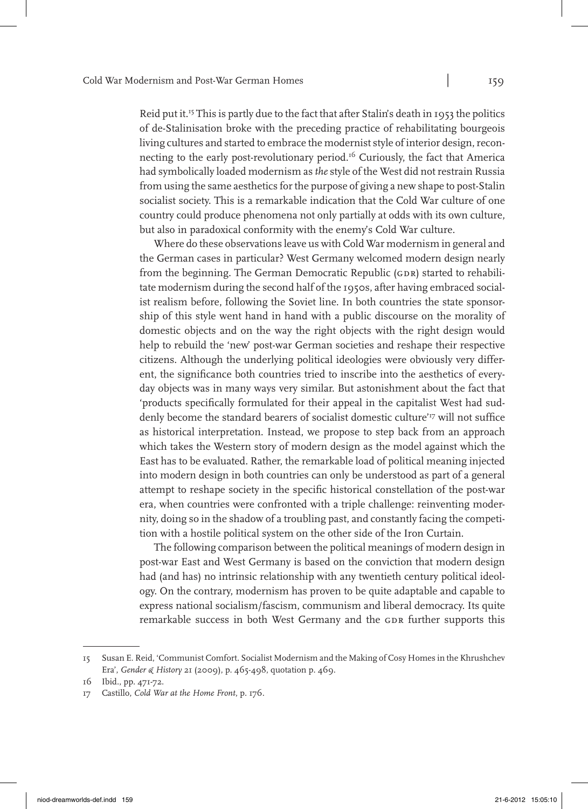Reid put it.<sup>15</sup> This is partly due to the fact that after Stalin's death in 1953 the politics of de-Stalinisation broke with the preceding practice of rehabilitating bourgeois living cultures and started to embrace the modernist style of interior design, reconnecting to the early post-revolutionary period.16 Curiously, the fact that America had symbolically loaded modernism as *the* style of the West did not restrain Russia from using the same aesthetics for the purpose of giving a new shape to post-Stalin socialist society. This is a remarkable indication that the Cold War culture of one country could produce phenomena not only partially at odds with its own culture, but also in paradoxical conformity with the enemy's Cold War culture.

Where do these observations leave us with Cold War modernism in general and the German cases in particular? West Germany welcomed modern design nearly from the beginning. The German Democratic Republic (GDR) started to rehabilitate modernism during the second half of the 1950s, after having embraced socialist realism before, following the Soviet line. In both countries the state sponsorship of this style went hand in hand with a public discourse on the morality of domestic objects and on the way the right objects with the right design would help to rebuild the 'new' post-war German societies and reshape their respective citizens. Although the underlying political ideologies were obviously very different, the significance both countries tried to inscribe into the aesthetics of everyday objects was in many ways very similar. But astonishment about the fact that 'products specifically formulated for their appeal in the capitalist West had suddenly become the standard bearers of socialist domestic culture'17 will not suffice as historical interpretation. Instead, we propose to step back from an approach which takes the Western story of modern design as the model against which the East has to be evaluated. Rather, the remarkable load of political meaning injected into modern design in both countries can only be understood as part of a general attempt to reshape society in the specific historical constellation of the post-war era, when countries were confronted with a triple challenge: reinventing modernity, doing so in the shadow of a troubling past, and constantly facing the competition with a hostile political system on the other side of the Iron Curtain.

The following comparison between the political meanings of modern design in post-war East and West Germany is based on the conviction that modern design had (and has) no intrinsic relationship with any twentieth century political ideology. On the contrary, modernism has proven to be quite adaptable and capable to express national socialism/fascism, communism and liberal democracy. Its quite remarkable success in both West Germany and the GDR further supports this

<sup>15</sup> Susan E. Reid, 'Communist Comfort. Socialist Modernism and the Making of Cosy Homes in the Khrushchev Era', *Gender & History* 21 (2009), p. 465-498, quotation p. 469.

<sup>16</sup> Ibid., pp. 471-72.

<sup>17</sup> Castillo, *Cold War at the Home Front*, p. 176.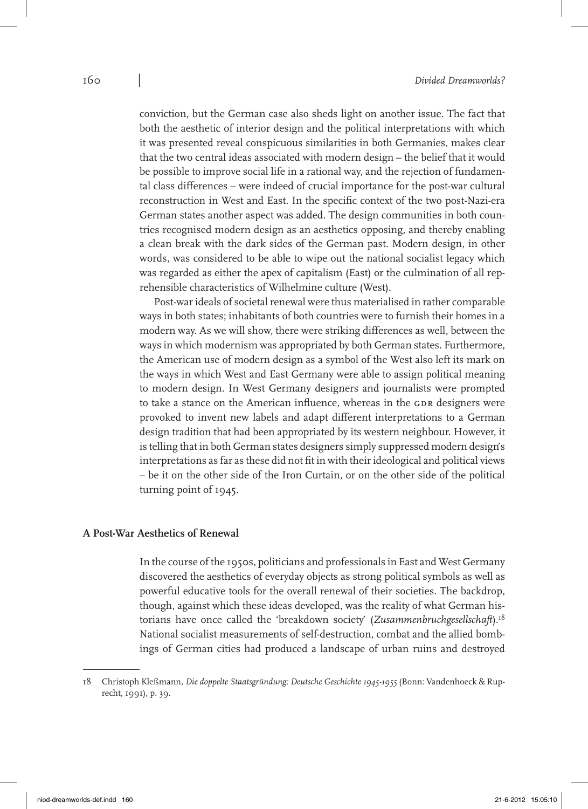conviction, but the German case also sheds light on another issue. The fact that both the aesthetic of interior design and the political interpretations with which it was presented reveal conspicuous similarities in both Germanies, makes clear that the two central ideas associated with modern design – the belief that it would be possible to improve social life in a rational way, and the rejection of fundamental class differences – were indeed of crucial importance for the post-war cultural reconstruction in West and East. In the specific context of the two post-Nazi-era German states another aspect was added. The design communities in both countries recognised modern design as an aesthetics opposing, and thereby enabling a clean break with the dark sides of the German past. Modern design, in other words, was considered to be able to wipe out the national socialist legacy which was regarded as either the apex of capitalism (East) or the culmination of all reprehensible characteristics of Wilhelmine culture (West).

Post-war ideals of societal renewal were thus materialised in rather comparable ways in both states; inhabitants of both countries were to furnish their homes in a modern way. As we will show, there were striking differences as well, between the ways in which modernism was appropriated by both German states. Furthermore, the American use of modern design as a symbol of the West also left its mark on the ways in which West and East Germany were able to assign political meaning to modern design. In West Germany designers and journalists were prompted to take a stance on the American influence, whereas in the GDR designers were provoked to invent new labels and adapt different interpretations to a German design tradition that had been appropriated by its western neighbour. However, it is telling that in both German states designers simply suppressed modern design's interpretations as far as these did not fit in with their ideological and political views – be it on the other side of the Iron Curtain, or on the other side of the political turning point of 1945.

### **A Post-War Aesthetics of Renewal**

In the course of the 1950s, politicians and professionals in East and West Germany discovered the aesthetics of everyday objects as strong political symbols as well as powerful educative tools for the overall renewal of their societies. The backdrop, though, against which these ideas developed, was the reality of what German historians have once called the 'breakdown society' (*Zusammenbruchgesellschaft*).18 National socialist measurements of self-destruction, combat and the allied bombings of German cities had produced a landscape of urban ruins and destroyed

<sup>18</sup> Christoph Kleßmann, *Die doppelte Staatsgründung: Deutsche Geschichte 1945-1955* (Bonn: Vandenhoeck & Ruprecht, 1991), p. 39.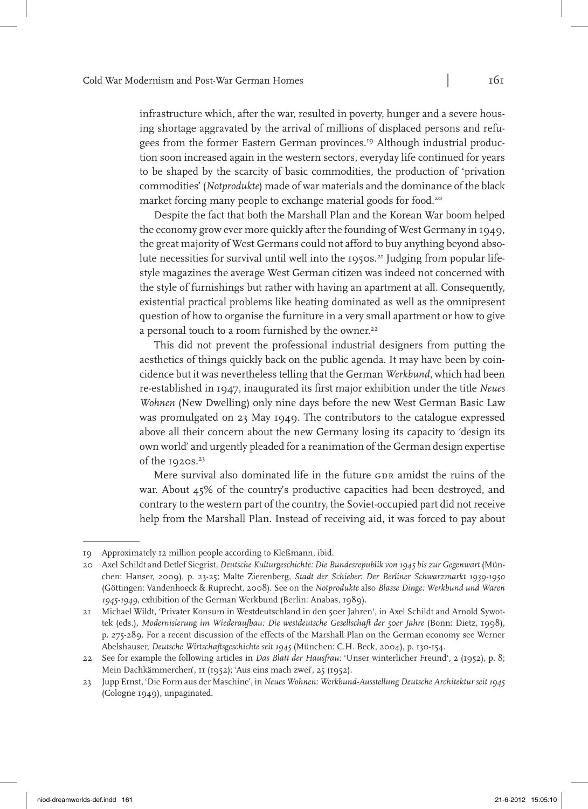infrastructure which, after the war, resulted in poverty, hunger and a severe housing shortage aggravated by the arrival of millions of displaced persons and refugees from the former Eastern German provinces.<sup>19</sup> Although industrial production soon increased again in the western sectors, everyday life continued for years to be shaped by the scarcity of basic commodities, the production of 'privation commodities' (*Notprodukte*) made of war materials and the dominance of the black market forcing many people to exchange material goods for food.20

Despite the fact that both the Marshall Plan and the Korean War boom helped the economy grow ever more quickly after the founding of West Germany in 1949, the great majority of West Germans could not afford to buy anything beyond absolute necessities for survival until well into the 1950s.<sup>21</sup> Judging from popular lifestyle magazines the average West German citizen was indeed not concerned with the style of furnishings but rather with having an apartment at all. Consequently, existential practical problems like heating dominated as well as the omnipresent question of how to organise the furniture in a very small apartment or how to give a personal touch to a room furnished by the owner.<sup>22</sup>

This did not prevent the professional industrial designers from putting the aesthetics of things quickly back on the public agenda. It may have been by coincidence but it was nevertheless telling that the German *Werkbund*, which had been re-established in 1947, inaugurated its first major exhibition under the title *Neues Wohnen* (New Dwelling) only nine days before the new West German Basic Law was promulgated on 23 May 1949. The contributors to the catalogue expressed above all their concern about the new Germany losing its capacity to 'design its own world' and urgently pleaded for a reanimation of the German design expertise of the  $1920s.^{23}$ 

Mere survival also dominated life in the future GDR amidst the ruins of the war. About 45% of the country's productive capacities had been destroyed, and contrary to the western part of the country, the Soviet-occupied part did not receive help from the Marshall Plan. Instead of receiving aid, it was forced to pay about

<sup>19</sup> Approximately 12 million people according to Kleßmann, ibid.

<sup>20</sup> Axel Schildt and Detlef Siegrist, *Deutsche Kulturgeschichte: Die Bundesrepublik von 1945 bis zur Gegenwart* (München: Hanser, 2009), p. 23-25; Malte Zierenberg, *Stadt der Schieber: Der Berliner Schwarzmarkt 1939-1950* (Göttingen: Vandenhoeck & Ruprecht, 2008). See on the *Notprodukte* also *Blasse Dinge: Werkbund und Waren 1945-1949*, exhibition of the German Werkbund (Berlin: Anabas, 1989).

<sup>21</sup> Michael Wildt, 'Privater Konsum in Westdeutschland in den 50er Jahren', in Axel Schildt and Arnold Sywottek (eds.), *Modernisierung im Wiederaufbau: Die westdeutsche Gesellschaft der 50er Jahre* (Bonn: Dietz, 1998), p. 275-289. For a recent discussion of the effects of the Marshall Plan on the German economy see Werner Abelshauser, *Deutsche Wirtschaftsgeschichte seit 1945* (München: C.H. Beck, 2004), p. 130-154.

<sup>22</sup> See for example the following articles in *Das Blatt der Hausfrau:* 'Unser winterlicher Freund', 2 (1952), p. 8; Mein Dachkämmerchen', 11 (1952); 'Aus eins mach zwei', 25 (1952).

<sup>23</sup> Jupp Ernst, 'Die Form aus der Maschine', in *Neues Wohnen: Werkbund-Ausstellung Deutsche Architektur seit 1945* (Cologne 1949), unpaginated.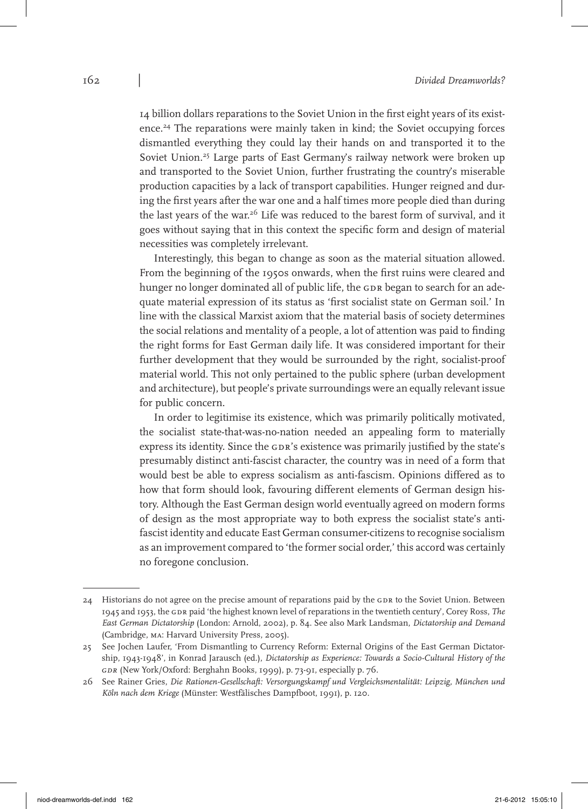14 billion dollars reparations to the Soviet Union in the first eight years of its existence.24 The reparations were mainly taken in kind; the Soviet occupying forces dismantled everything they could lay their hands on and transported it to the Soviet Union.<sup>25</sup> Large parts of East Germany's railway network were broken up and transported to the Soviet Union, further frustrating the country's miserable production capacities by a lack of transport capabilities. Hunger reigned and during the first years after the war one and a half times more people died than during the last years of the war.26 Life was reduced to the barest form of survival, and it goes without saying that in this context the specific form and design of material necessities was completely irrelevant.

Interestingly, this began to change as soon as the material situation allowed. From the beginning of the 1950s onwards, when the first ruins were cleared and hunger no longer dominated all of public life, the GDR began to search for an adequate material expression of its status as 'first socialist state on German soil.' In line with the classical Marxist axiom that the material basis of society determines the social relations and mentality of a people, a lot of attention was paid to finding the right forms for East German daily life. It was considered important for their further development that they would be surrounded by the right, socialist-proof material world. This not only pertained to the public sphere (urban development and architecture), but people's private surroundings were an equally relevant issue for public concern.

In order to legitimise its existence, which was primarily politically motivated, the socialist state-that-was-no-nation needed an appealing form to materially express its identity. Since the GDR's existence was primarily justified by the state's presumably distinct anti-fascist character, the country was in need of a form that would best be able to express socialism as anti-fascism. Opinions differed as to how that form should look, favouring different elements of German design history. Although the East German design world eventually agreed on modern forms of design as the most appropriate way to both express the socialist state's antifascist identity and educate East German consumer-citizens to recognise socialism as an improvement compared to 'the former social order,' this accord was certainly no foregone conclusion.

<sup>24</sup> Historians do not agree on the precise amount of reparations paid by the GDR to the Soviet Union. Between 1945 and 1953, the gdr paid 'the highest known level of reparations in the twentieth century', Corey Ross, *The East German Dictatorship* (London: Arnold, 2002), p. 84. See also Mark Landsman, *Dictatorship and Demand* (Cambridge, ma: Harvard University Press, 2005).

<sup>25</sup> See Jochen Laufer, 'From Dismantling to Currency Reform: External Origins of the East German Dictatorship, 1943-1948', in Konrad Jarausch (ed.), *Dictatorship as Experience: Towards a Socio-Cultural History of the gdr* (New York/Oxford: Berghahn Books, 1999), p. 73-91, especially p. 76.

<sup>26</sup> See Rainer Gries, *Die Rationen-Gesellschaft: Versorgungskampf und Vergleichsmentalität: Leipzig, München und Köln nach dem Kriege* (Münster: Westfälisches Dampfboot, 1991), p. 120.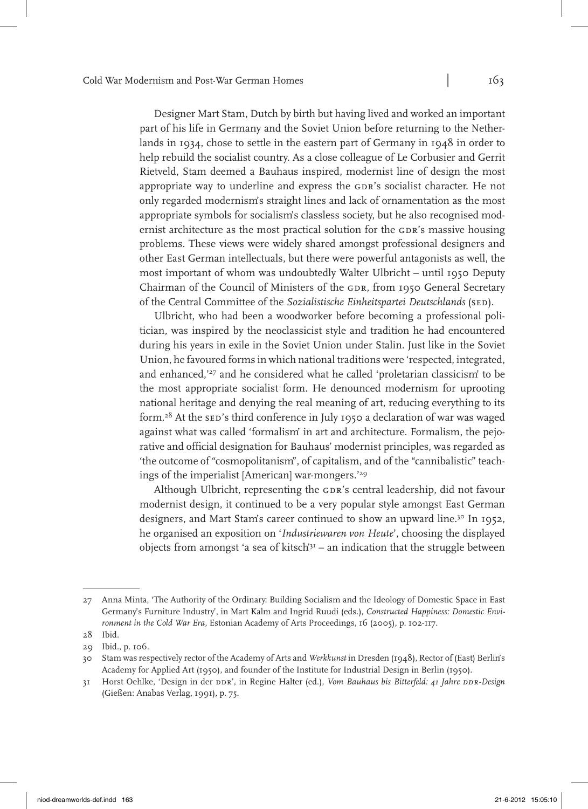Designer Mart Stam, Dutch by birth but having lived and worked an important part of his life in Germany and the Soviet Union before returning to the Netherlands in 1934, chose to settle in the eastern part of Germany in 1948 in order to help rebuild the socialist country. As a close colleague of Le Corbusier and Gerrit Rietveld, Stam deemed a Bauhaus inspired, modernist line of design the most appropriate way to underline and express the GDR's socialist character. He not only regarded modernism's straight lines and lack of ornamentation as the most appropriate symbols for socialism's classless society, but he also recognised modernist architecture as the most practical solution for the GDR's massive housing problems. These views were widely shared amongst professional designers and other East German intellectuals, but there were powerful antagonists as well, the most important of whom was undoubtedly Walter Ulbricht – until 1950 Deputy Chairman of the Council of Ministers of the GDR, from 1950 General Secretary of the Central Committee of the *Sozialistische Einheitspartei Deutschlands* (SED).

Ulbricht, who had been a woodworker before becoming a professional politician, was inspired by the neoclassicist style and tradition he had encountered during his years in exile in the Soviet Union under Stalin. Just like in the Soviet Union, he favoured forms in which national traditions were 'respected, integrated, and enhanced,'27 and he considered what he called 'proletarian classicism' to be the most appropriate socialist form. He denounced modernism for uprooting national heritage and denying the real meaning of art, reducing everything to its form.<sup>28</sup> At the sED's third conference in July 1950 a declaration of war was waged against what was called 'formalism' in art and architecture. Formalism, the pejorative and official designation for Bauhaus' modernist principles, was regarded as 'the outcome of "cosmopolitanism", of capitalism, and of the "cannibalistic" teachings of the imperialist [American] war-mongers.'29

Although Ulbricht, representing the GDR's central leadership, did not favour modernist design, it continued to be a very popular style amongst East German designers, and Mart Stam's career continued to show an upward line.<sup>30</sup> In 1952, he organised an exposition on '*Industriewaren von Heute*', choosing the displayed objects from amongst 'a sea of kitsch<sup>'31</sup> – an indication that the struggle between

<sup>27</sup> Anna Minta, 'The Authority of the Ordinary: Building Socialism and the Ideology of Domestic Space in East Germany's Furniture Industry', in Mart Kalm and Ingrid Ruudi (eds.), *Constructed Happiness: Domestic Environment in the Cold War Era*, Estonian Academy of Arts Proceedings, 16 (2005), p. 102-117.

<sup>28</sup> Ibid.

<sup>29</sup> Ibid., p. 106.

<sup>30</sup> Stam was respectively rector of the Academy of Arts and *Werkkunst* in Dresden (1948), Rector of (East) Berlin's Academy for Applied Art (1950), and founder of the Institute for Industrial Design in Berlin (1950).

<sup>31</sup> Horst Oehlke, 'Design in der DDR', in Regine Halter (ed.), *Vom Bauhaus bis Bitterfeld: 41 Jahre DDR-Design* (Gießen: Anabas Verlag, 1991), p. 75.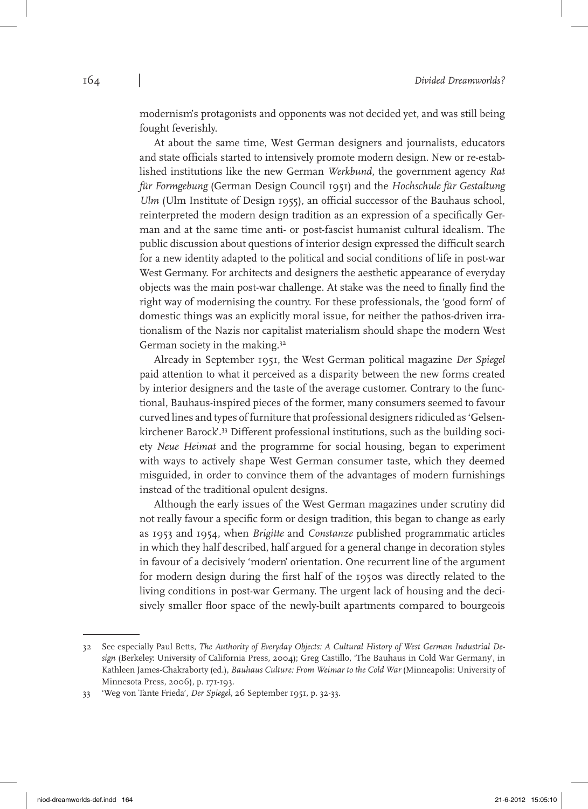modernism's protagonists and opponents was not decided yet, and was still being fought feverishly.

At about the same time, West German designers and journalists, educators and state officials started to intensively promote modern design. New or re-established institutions like the new German *Werkbund*, the government agency *Rat für Formgebung* (German Design Council 1951) and the *Hochschule für Gestaltung Ulm* (Ulm Institute of Design 1955), an official successor of the Bauhaus school, reinterpreted the modern design tradition as an expression of a specifically German and at the same time anti- or post-fascist humanist cultural idealism. The public discussion about questions of interior design expressed the difficult search for a new identity adapted to the political and social conditions of life in post-war West Germany. For architects and designers the aesthetic appearance of everyday objects was the main post-war challenge. At stake was the need to finally find the right way of modernising the country. For these professionals, the 'good form' of domestic things was an explicitly moral issue, for neither the pathos-driven irrationalism of the Nazis nor capitalist materialism should shape the modern West German society in the making.<sup>32</sup>

Already in September 1951, the West German political magazine *Der Spiegel*  paid attention to what it perceived as a disparity between the new forms created by interior designers and the taste of the average customer. Contrary to the functional, Bauhaus-inspired pieces of the former, many consumers seemed to favour curved lines and types of furniture that professional designers ridiculed as 'Gelsenkirchener Barock'.33 Different professional institutions, such as the building society *Neue Heimat* and the programme for social housing, began to experiment with ways to actively shape West German consumer taste, which they deemed misguided, in order to convince them of the advantages of modern furnishings instead of the traditional opulent designs.

Although the early issues of the West German magazines under scrutiny did not really favour a specific form or design tradition, this began to change as early as 1953 and 1954, when *Brigitte* and *Constanze* published programmatic articles in which they half described, half argued for a general change in decoration styles in favour of a decisively 'modern' orientation. One recurrent line of the argument for modern design during the first half of the 1950s was directly related to the living conditions in post-war Germany. The urgent lack of housing and the decisively smaller floor space of the newly-built apartments compared to bourgeois

<sup>32</sup> See especially Paul Betts, *The Authority of Everyday Objects: A Cultural History of West German Industrial Design* (Berkeley: University of California Press, 2004); Greg Castillo, 'The Bauhaus in Cold War Germany', in Kathleen James-Chakraborty (ed.), *Bauhaus Culture: From Weimar to the Cold War* (Minneapolis: University of Minnesota Press, 2006), p. 171-193.

<sup>33</sup> 'Weg von Tante Frieda', *Der Spiegel*, 26 September 1951, p. 32-33.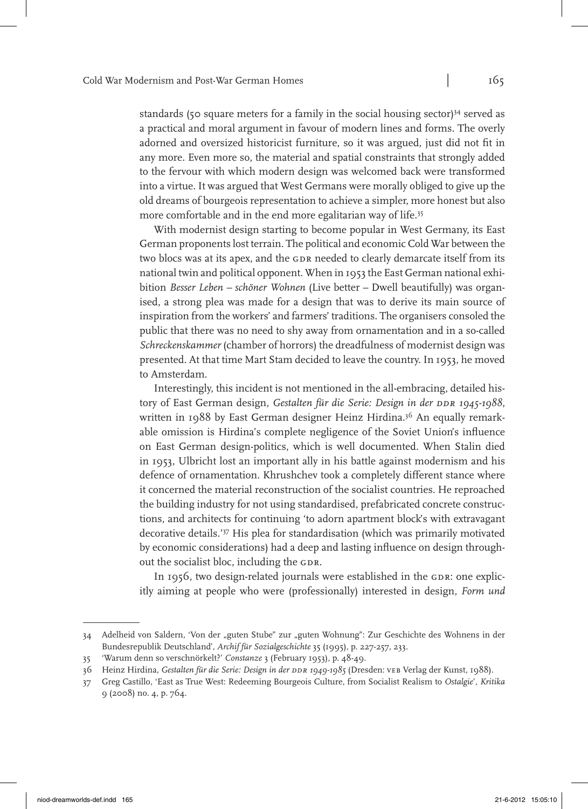standards (50 square meters for a family in the social housing sector)<sup>34</sup> served as a practical and moral argument in favour of modern lines and forms. The overly adorned and oversized historicist furniture, so it was argued, just did not fit in any more. Even more so, the material and spatial constraints that strongly added to the fervour with which modern design was welcomed back were transformed into a virtue. It was argued that West Germans were morally obliged to give up the old dreams of bourgeois representation to achieve a simpler, more honest but also more comfortable and in the end more egalitarian way of life.35

With modernist design starting to become popular in West Germany, its East German proponents lost terrain. The political and economic Cold War between the two blocs was at its apex, and the GDR needed to clearly demarcate itself from its national twin and political opponent. When in 1953 the East German national exhibition *Besser Leben – schöner Wohnen* (Live better – Dwell beautifully) was organised, a strong plea was made for a design that was to derive its main source of inspiration from the workers' and farmers' traditions. The organisers consoled the public that there was no need to shy away from ornamentation and in a so-called *Schreckenskammer* (chamber of horrors) the dreadfulness of modernist design was presented. At that time Mart Stam decided to leave the country. In 1953, he moved to Amsterdam.

Interestingly, this incident is not mentioned in the all-embracing, detailed history of East German design, *Gestalten für die Serie: Design in der DDR* 1945-1988, written in 1988 by East German designer Heinz Hirdina.<sup>36</sup> An equally remarkable omission is Hirdina's complete negligence of the Soviet Union's influence on East German design-politics, which is well documented. When Stalin died in 1953, Ulbricht lost an important ally in his battle against modernism and his defence of ornamentation. Khrushchev took a completely different stance where it concerned the material reconstruction of the socialist countries. He reproached the building industry for not using standardised, prefabricated concrete constructions, and architects for continuing 'to adorn apartment block's with extravagant decorative details.'37 His plea for standardisation (which was primarily motivated by economic considerations) had a deep and lasting influence on design throughout the socialist bloc, including the GDR.

In 1956, two design-related journals were established in the GDR: one explicitly aiming at people who were (professionally) interested in design, *Form und* 

<sup>34</sup> Adelheid von Saldern, 'Von der "guten Stube" zur "guten Wohnung": Zur Geschichte des Wohnens in der Bundesrepublik Deutschland', *Archif für Sozialgeschichte* 35 (1995), p. 227-257, 233.

<sup>35</sup> 'Warum denn so verschnörkelt?' *Constanze* 3 (February 1953), p. 48-49.

<sup>36</sup> Heinz Hirdina, *Gestalten für die Serie: Design in der ddr 1949-1985* (Dresden: veb Verlag der Kunst, 1988).

<sup>37</sup> Greg Castillo, 'East as True West: Redeeming Bourgeois Culture, from Socialist Realism to *Ostalgie*', *Kritika* 9 (2008) no. 4, p. 764.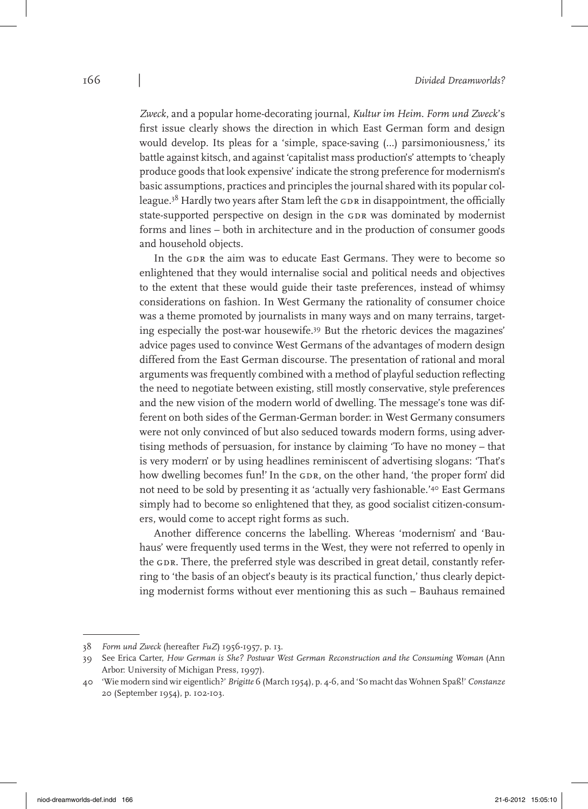*Zweck*, and a popular home-decorating journal, *Kultur im Heim*. *Form und Zweck*'s first issue clearly shows the direction in which East German form and design would develop. Its pleas for a 'simple, space-saving (…) parsimoniousness,' its battle against kitsch, and against 'capitalist mass production's' attempts to 'cheaply produce goods that look expensive' indicate the strong preference for modernism's basic assumptions, practices and principles the journal shared with its popular colleague. $3^8$  Hardly two years after Stam left the GDR in disappointment, the officially state-supported perspective on design in the GDR was dominated by modernist forms and lines – both in architecture and in the production of consumer goods and household objects.

In the GDR the aim was to educate East Germans. They were to become so enlightened that they would internalise social and political needs and objectives to the extent that these would guide their taste preferences, instead of whimsy considerations on fashion. In West Germany the rationality of consumer choice was a theme promoted by journalists in many ways and on many terrains, targeting especially the post-war housewife.39 But the rhetoric devices the magazines' advice pages used to convince West Germans of the advantages of modern design differed from the East German discourse. The presentation of rational and moral arguments was frequently combined with a method of playful seduction reflecting the need to negotiate between existing, still mostly conservative, style preferences and the new vision of the modern world of dwelling. The message's tone was different on both sides of the German-German border: in West Germany consumers were not only convinced of but also seduced towards modern forms, using advertising methods of persuasion, for instance by claiming 'To have no money – that is very modern' or by using headlines reminiscent of advertising slogans: 'That's how dwelling becomes fun!' In the GDR, on the other hand, 'the proper form' did not need to be sold by presenting it as 'actually very fashionable.'40 East Germans simply had to become so enlightened that they, as good socialist citizen-consumers, would come to accept right forms as such.

Another difference concerns the labelling. Whereas 'modernism' and 'Bauhaus' were frequently used terms in the West, they were not referred to openly in the GDR. There, the preferred style was described in great detail, constantly referring to 'the basis of an object's beauty is its practical function,' thus clearly depicting modernist forms without ever mentioning this as such – Bauhaus remained

<sup>38</sup> *Form und Zweck* (hereafter *FuZ*) 1956-1957, p. 13.

<sup>39</sup> See Erica Carter, *How German is She? Postwar West German Reconstruction and the Consuming Woman* (Ann Arbor: University of Michigan Press, 1997).

<sup>40</sup> 'Wie modern sind wir eigentlich?' *Brigitte* 6 (March 1954), p. 4-6, and 'So macht das Wohnen Spaß!' *Constanze* 20 (September 1954), p. 102-103.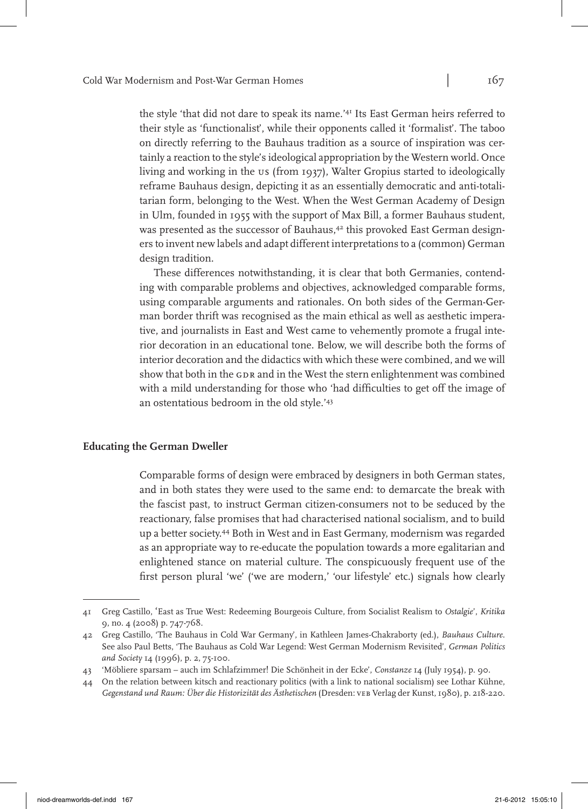the style 'that did not dare to speak its name.'41 Its East German heirs referred to their style as 'functionalist', while their opponents called it 'formalist'. The taboo on directly referring to the Bauhaus tradition as a source of inspiration was certainly a reaction to the style's ideological appropriation by the Western world. Once living and working in the us (from 1937), Walter Gropius started to ideologically reframe Bauhaus design, depicting it as an essentially democratic and anti-totalitarian form, belonging to the West. When the West German Academy of Design in Ulm, founded in 1955 with the support of Max Bill, a former Bauhaus student, was presented as the successor of Bauhaus,<sup>42</sup> this provoked East German designers to invent new labels and adapt different interpretations to a (common) German design tradition.

These differences notwithstanding, it is clear that both Germanies, contending with comparable problems and objectives, acknowledged comparable forms, using comparable arguments and rationales. On both sides of the German-German border thrift was recognised as the main ethical as well as aesthetic imperative, and journalists in East and West came to vehemently promote a frugal interior decoration in an educational tone. Below, we will describe both the forms of interior decoration and the didactics with which these were combined, and we will show that both in the GDR and in the West the stern enlightenment was combined with a mild understanding for those who 'had difficulties to get off the image of an ostentatious bedroom in the old style.'43

### **Educating the German Dweller**

Comparable forms of design were embraced by designers in both German states, and in both states they were used to the same end: to demarcate the break with the fascist past, to instruct German citizen-consumers not to be seduced by the reactionary, false promises that had characterised national socialism, and to build up a better society.44 Both in West and in East Germany, modernism was regarded as an appropriate way to re-educate the population towards a more egalitarian and enlightened stance on material culture. The conspicuously frequent use of the first person plural 'we' ('we are modern,' 'our lifestyle' etc.) signals how clearly

<sup>41</sup> Greg Castillo, 'East as True West: Redeeming Bourgeois Culture, from Socialist Realism to *Ostalgie*', *Kritika* 9, no. 4 (2008) p. 747-768.

<sup>42</sup> Greg Castillo, 'The Bauhaus in Cold War Germany', in Kathleen James-Chakraborty (ed.), *Bauhaus Culture*. See also Paul Betts, 'The Bauhaus as Cold War Legend: West German Modernism Revisited', *German Politics and Society* 14 (1996), p. 2, 75-100.

<sup>43</sup> 'Möbliere sparsam – auch im Schlafzimmer! Die Schönheit in der Ecke', *Constanze* 14 (July 1954), p. 90.

<sup>44</sup> On the relation between kitsch and reactionary politics (with a link to national socialism) see Lothar Kühne, *Gegenstand und Raum: Über die Historizität des Ästhetischen* (Dresden: veb Verlag der Kunst, 1980), p. 218-220.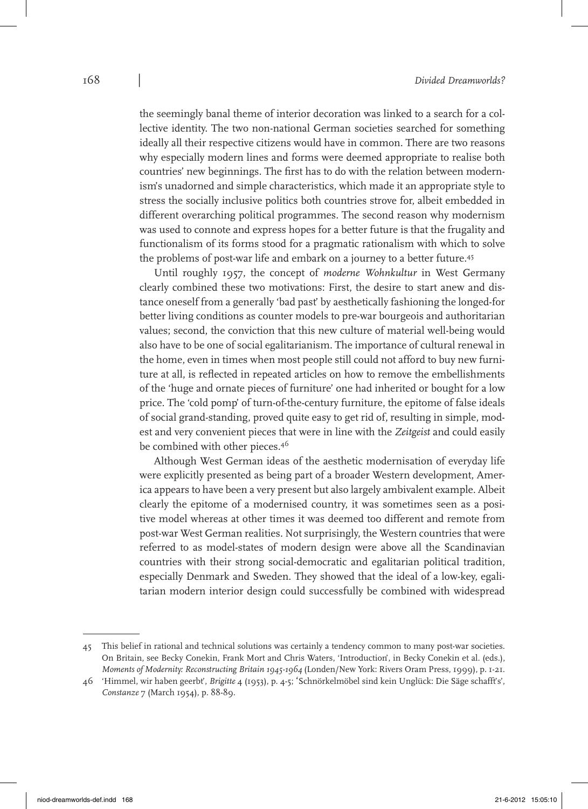the seemingly banal theme of interior decoration was linked to a search for a collective identity. The two non-national German societies searched for something ideally all their respective citizens would have in common. There are two reasons why especially modern lines and forms were deemed appropriate to realise both countries' new beginnings. The first has to do with the relation between modernism's unadorned and simple characteristics, which made it an appropriate style to stress the socially inclusive politics both countries strove for, albeit embedded in different overarching political programmes. The second reason why modernism was used to connote and express hopes for a better future is that the frugality and functionalism of its forms stood for a pragmatic rationalism with which to solve the problems of post-war life and embark on a journey to a better future.45

Until roughly 1957, the concept of *moderne Wohnkultur* in West Germany clearly combined these two motivations: First, the desire to start anew and distance oneself from a generally 'bad past' by aesthetically fashioning the longed-for better living conditions as counter models to pre-war bourgeois and authoritarian values; second, the conviction that this new culture of material well-being would also have to be one of social egalitarianism. The importance of cultural renewal in the home, even in times when most people still could not afford to buy new furniture at all, is reflected in repeated articles on how to remove the embellishments of the 'huge and ornate pieces of furniture' one had inherited or bought for a low price. The 'cold pomp' of turn-of-the-century furniture, the epitome of false ideals of social grand-standing, proved quite easy to get rid of, resulting in simple, modest and very convenient pieces that were in line with the *Zeitgeist* and could easily be combined with other pieces.46

Although West German ideas of the aesthetic modernisation of everyday life were explicitly presented as being part of a broader Western development, America appears to have been a very present but also largely ambivalent example. Albeit clearly the epitome of a modernised country, it was sometimes seen as a positive model whereas at other times it was deemed too different and remote from post-war West German realities. Not surprisingly, the Western countries that were referred to as model-states of modern design were above all the Scandinavian countries with their strong social-democratic and egalitarian political tradition, especially Denmark and Sweden. They showed that the ideal of a low-key, egalitarian modern interior design could successfully be combined with widespread

<sup>45</sup> This belief in rational and technical solutions was certainly a tendency common to many post-war societies. On Britain, see Becky Conekin, Frank Mort and Chris Waters, 'Introduction', in Becky Conekin et al. (eds.), *Moments of Modernity: Reconstructing Britain 1945-1964* (Londen/New York: Rivers Oram Press, 1999), p. 1-21.

<sup>46</sup> 'Himmel, wir haben geerbt', *Brigitte* 4 (1953), p. 4-5; 'Schnörkelmöbel sind kein Unglück: Die Säge schafft's', *Constanze* 7 (March 1954), p. 88-89.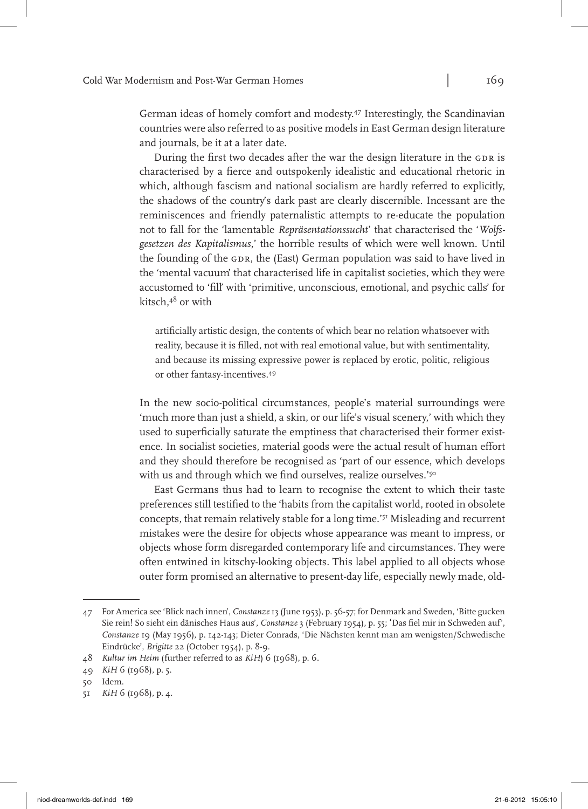German ideas of homely comfort and modesty.47 Interestingly, the Scandinavian countries were also referred to as positive models in East German design literature and journals, be it at a later date.

During the first two decades after the war the design literature in the GDR is characterised by a fierce and outspokenly idealistic and educational rhetoric in which, although fascism and national socialism are hardly referred to explicitly, the shadows of the country's dark past are clearly discernible. Incessant are the reminiscences and friendly paternalistic attempts to re-educate the population not to fall for the 'lamentable *Repräsentationssucht*' that characterised the '*Wolfsgesetzen des Kapitalismus*,' the horrible results of which were well known. Until the founding of the gdr, the (East) German population was said to have lived in the 'mental vacuum' that characterised life in capitalist societies, which they were accustomed to 'fill' with 'primitive, unconscious, emotional, and psychic calls' for kitsch,48 or with

artificially artistic design, the contents of which bear no relation whatsoever with reality, because it is filled, not with real emotional value, but with sentimentality, and because its missing expressive power is replaced by erotic, politic, religious or other fantasy-incentives.49

In the new socio-political circumstances, people's material surroundings were 'much more than just a shield, a skin, or our life's visual scenery,' with which they used to superficially saturate the emptiness that characterised their former existence. In socialist societies, material goods were the actual result of human effort and they should therefore be recognised as 'part of our essence, which develops with us and through which we find ourselves, realize ourselves.'<sup>50</sup>

East Germans thus had to learn to recognise the extent to which their taste preferences still testified to the 'habits from the capitalist world, rooted in obsolete concepts, that remain relatively stable for a long time.'51 Misleading and recurrent mistakes were the desire for objects whose appearance was meant to impress, or objects whose form disregarded contemporary life and circumstances. They were often entwined in kitschy-looking objects. This label applied to all objects whose outer form promised an alternative to present-day life, especially newly made, old-

<sup>47</sup> For America see 'Blick nach innen', *Constanze* 13 (June 1953), p. 56-57; for Denmark and Sweden' 'Bitte gucken Sie rein! So sieht ein dänisches Haus aus', *Constanze* 3 (February 1954), p. 55; 'Das fiel mir in Schweden auf', *Constanze* 19 (May 1956), p. 142-143; Dieter Conrads, 'Die Nächsten kennt man am wenigsten/Schwedische Eindrücke', *Brigitte* 22 (October 1954), p. 8-9.

<sup>48</sup> *Kultur im Heim* (further referred to as *KiH*) 6 (1968), p. 6.

<sup>49</sup> *KiH* 6 (1968), p. 5.

<sup>50</sup> Idem.

<sup>51</sup> *KiH* 6 (1968), p. 4.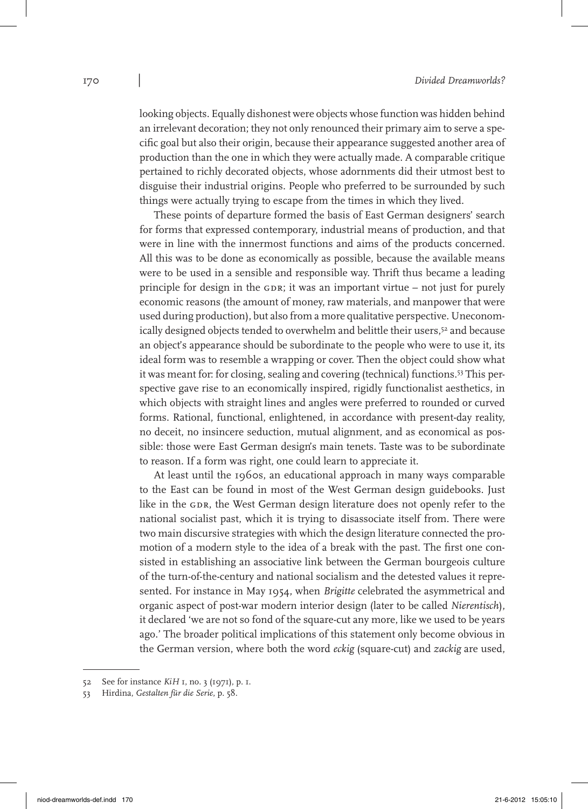looking objects. Equally dishonest were objects whose function was hidden behind an irrelevant decoration; they not only renounced their primary aim to serve a specific goal but also their origin, because their appearance suggested another area of production than the one in which they were actually made. A comparable critique pertained to richly decorated objects, whose adornments did their utmost best to disguise their industrial origins. People who preferred to be surrounded by such things were actually trying to escape from the times in which they lived.

These points of departure formed the basis of East German designers' search for forms that expressed contemporary, industrial means of production, and that were in line with the innermost functions and aims of the products concerned. All this was to be done as economically as possible, because the available means were to be used in a sensible and responsible way. Thrift thus became a leading principle for design in the GDR; it was an important virtue – not just for purely economic reasons (the amount of money, raw materials, and manpower that were used during production), but also from a more qualitative perspective. Uneconomically designed objects tended to overwhelm and belittle their users,<sup>52</sup> and because an object's appearance should be subordinate to the people who were to use it, its ideal form was to resemble a wrapping or cover. Then the object could show what it was meant for: for closing, sealing and covering (technical) functions.53 This perspective gave rise to an economically inspired, rigidly functionalist aesthetics, in which objects with straight lines and angles were preferred to rounded or curved forms. Rational, functional, enlightened, in accordance with present-day reality, no deceit, no insincere seduction, mutual alignment, and as economical as possible: those were East German design's main tenets. Taste was to be subordinate to reason. If a form was right, one could learn to appreciate it.

At least until the 1960s, an educational approach in many ways comparable to the East can be found in most of the West German design guidebooks. Just like in the GDR, the West German design literature does not openly refer to the national socialist past, which it is trying to disassociate itself from. There were two main discursive strategies with which the design literature connected the promotion of a modern style to the idea of a break with the past. The first one consisted in establishing an associative link between the German bourgeois culture of the turn-of-the-century and national socialism and the detested values it represented. For instance in May 1954, when *Brigitte* celebrated the asymmetrical and organic aspect of post-war modern interior design (later to be called *Nierentisch*), it declared 'we are not so fond of the square-cut any more, like we used to be years ago.' The broader political implications of this statement only become obvious in the German version, where both the word *eckig* (square-cut) and *zackig* are used,

<sup>52</sup> See for instance *KiH* 1, no. 3 (1971), p. 1.

<sup>53</sup> Hirdina, *Gestalten für die Serie*, p. 58.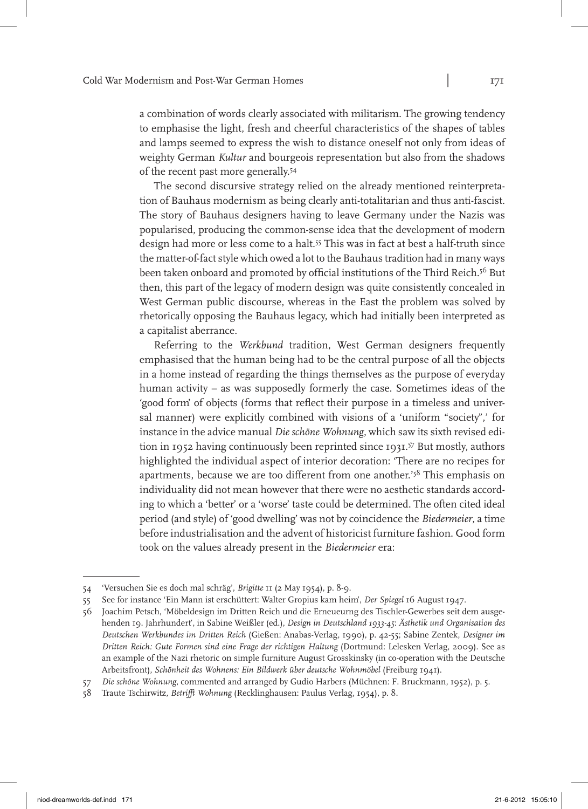a combination of words clearly associated with militarism. The growing tendency to emphasise the light, fresh and cheerful characteristics of the shapes of tables and lamps seemed to express the wish to distance oneself not only from ideas of weighty German *Kultur* and bourgeois representation but also from the shadows of the recent past more generally.54

The second discursive strategy relied on the already mentioned reinterpretation of Bauhaus modernism as being clearly anti-totalitarian and thus anti-fascist. The story of Bauhaus designers having to leave Germany under the Nazis was popularised, producing the common-sense idea that the development of modern design had more or less come to a halt.55 This was in fact at best a half-truth since the matter-of-fact style which owed a lot to the Bauhaus tradition had in many ways been taken onboard and promoted by official institutions of the Third Reich.<sup>56</sup> But then, this part of the legacy of modern design was quite consistently concealed in West German public discourse, whereas in the East the problem was solved by rhetorically opposing the Bauhaus legacy, which had initially been interpreted as a capitalist aberrance.

Referring to the *Werkbund* tradition, West German designers frequently emphasised that the human being had to be the central purpose of all the objects in a home instead of regarding the things themselves as the purpose of everyday human activity – as was supposedly formerly the case. Sometimes ideas of the 'good form' of objects (forms that reflect their purpose in a timeless and universal manner) were explicitly combined with visions of a 'uniform "society",' for instance in the advice manual *Die schöne Wohnung*, which saw its sixth revised edition in 1952 having continuously been reprinted since 1931.57 But mostly, authors highlighted the individual aspect of interior decoration: 'There are no recipes for apartments, because we are too different from one another.'58 This emphasis on individuality did not mean however that there were no aesthetic standards according to which a 'better' or a 'worse' taste could be determined. The often cited ideal period (and style) of 'good dwelling' was not by coincidence the *Biedermeier*, a time before industrialisation and the advent of historicist furniture fashion. Good form took on the values already present in the *Biedermeier* era:

<sup>54</sup> 'Versuchen Sie es doch mal schräg', *Brigitte* 11 (2 May 1954), p. 8-9.

<sup>55</sup> See for instance 'Ein Mann ist erschüttert: Walter Gropius kam heim', *Der Spiegel* 16 August 1947.

<sup>56</sup> Joachim Petsch, 'Möbeldesign im Dritten Reich und die Erneueurng des Tischler-Gewerbes seit dem ausgehenden 19. Jahrhundert', in Sabine Weißler (ed.), *Design in Deutschland 1933-45*: *Ästhetik und Organisation des Deutschen Werkbundes im Dritten Reich* (Gießen: Anabas-Verlag, 1990), p. 42-55; Sabine Zentek, *Designer im Dritten Reich: Gute Formen sind eine Frage der richtigen Haltung* (Dortmund: Lelesken Verlag, 2009). See as an example of the Nazi rhetoric on simple furniture August Grosskinsky (in co-operation with the Deutsche Arbeitsfront), *Schönheit des Wohnens: Ein Bildwerk über deutsche Wohnmöbel* (Freiburg 1941).

<sup>57</sup> *Die schöne Wohnung*, commented and arranged by Gudio Harbers (Müchnen: F. Bruckmann, 1952), p. 5.

<sup>58</sup> Traute Tschirwitz, *Betrifft Wohnung* (Recklinghausen: Paulus Verlag, 1954), p. 8.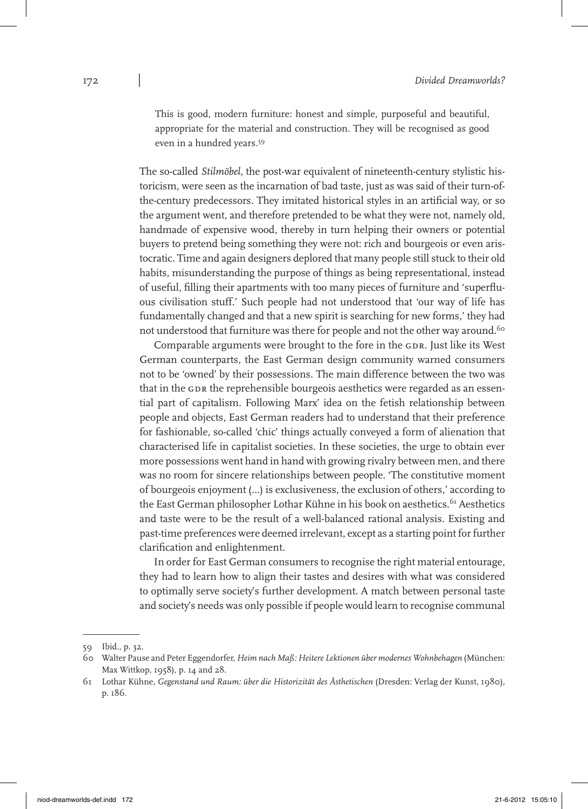This is good, modern furniture: honest and simple, purposeful and beautiful, appropriate for the material and construction. They will be recognised as good even in a hundred years.59

The so-called *Stilmöbel*, the post-war equivalent of nineteenth-century stylistic historicism, were seen as the incarnation of bad taste, just as was said of their turn-ofthe-century predecessors. They imitated historical styles in an artificial way, or so the argument went, and therefore pretended to be what they were not, namely old, handmade of expensive wood, thereby in turn helping their owners or potential buyers to pretend being something they were not: rich and bourgeois or even aristocratic. Time and again designers deplored that many people still stuck to their old habits, misunderstanding the purpose of things as being representational, instead of useful, filling their apartments with too many pieces of furniture and 'superfluous civilisation stuff.' Such people had not understood that 'our way of life has fundamentally changed and that a new spirit is searching for new forms,' they had not understood that furniture was there for people and not the other way around.<sup>60</sup>

Comparable arguments were brought to the fore in the GDR. Just like its West German counterparts, the East German design community warned consumers not to be 'owned' by their possessions. The main difference between the two was that in the GDR the reprehensible bourgeois aesthetics were regarded as an essential part of capitalism. Following Marx' idea on the fetish relationship between people and objects, East German readers had to understand that their preference for fashionable, so-called 'chic' things actually conveyed a form of alienation that characterised life in capitalist societies. In these societies, the urge to obtain ever more possessions went hand in hand with growing rivalry between men, and there was no room for sincere relationships between people. 'The constitutive moment of bourgeois enjoyment (*…*) is exclusiveness, the exclusion of others,' according to the East German philosopher Lothar Kühne in his book on aesthetics.<sup>61</sup> Aesthetics and taste were to be the result of a well-balanced rational analysis. Existing and past-time preferences were deemed irrelevant, except as a starting point for further clarification and enlightenment.

In order for East German consumers to recognise the right material entourage, they had to learn how to align their tastes and desires with what was considered to optimally serve society's further development. A match between personal taste and society's needs was only possible if people would learn to recognise communal

<sup>59</sup> Ibid., p. 32.

<sup>60</sup> Walter Pause and Peter Eggendorfer, *Heim nach Maß: Heitere Lektionen über modernes Wohnbehagen* (München: Max Wittkop, 1958), p. 14 and 28.

<sup>61</sup> Lothar Kühne, *Gegenstand und Raum: über die Historizität des Ästhetischen* (Dresden: Verlag der Kunst, 1980), p. 186.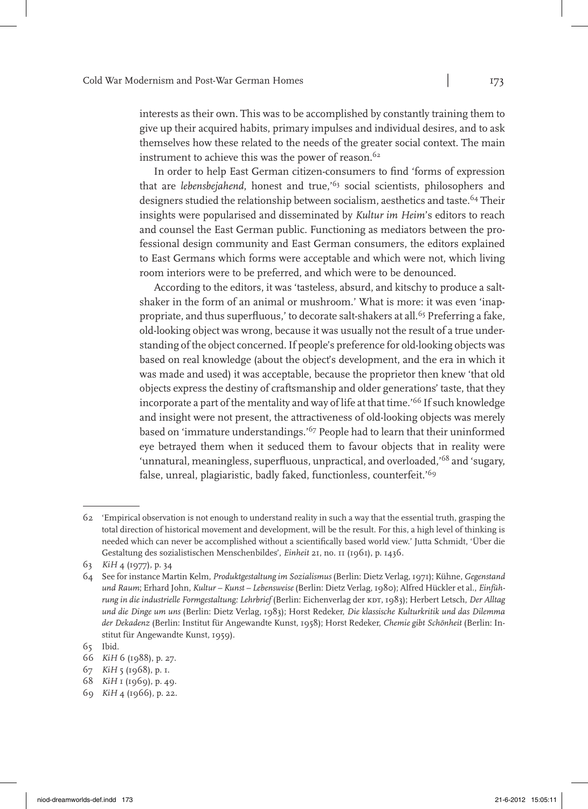interests as their own. This was to be accomplished by constantly training them to give up their acquired habits, primary impulses and individual desires, and to ask themselves how these related to the needs of the greater social context. The main instrument to achieve this was the power of reason.<sup>62</sup>

In order to help East German citizen-consumers to find 'forms of expression that are *lebensbejahend*, honest and true,'63 social scientists, philosophers and designers studied the relationship between socialism, aesthetics and taste.<sup>64</sup> Their insights were popularised and disseminated by *Kultur im Heim*'s editors to reach and counsel the East German public. Functioning as mediators between the professional design community and East German consumers, the editors explained to East Germans which forms were acceptable and which were not, which living room interiors were to be preferred, and which were to be denounced.

According to the editors, it was 'tasteless, absurd, and kitschy to produce a saltshaker in the form of an animal or mushroom.' What is more: it was even 'inappropriate, and thus superfluous,' to decorate salt-shakers at all.<sup>65</sup> Preferring a fake, old-looking object was wrong, because it was usually not the result of a true understanding of the object concerned. If people's preference for old-looking objects was based on real knowledge (about the object's development, and the era in which it was made and used) it was acceptable, because the proprietor then knew 'that old objects express the destiny of craftsmanship and older generations' taste, that they incorporate a part of the mentality and way of life at that time.'66 If such knowledge and insight were not present, the attractiveness of old-looking objects was merely based on 'immature understandings.'67 People had to learn that their uninformed eye betrayed them when it seduced them to favour objects that in reality were 'unnatural, meaningless, superfluous, unpractical, and overloaded,<sup>168</sup> and 'sugary, false, unreal, plagiaristic, badly faked, functionless, counterfeit.'69

<sup>62</sup> 'Empirical observation is not enough to understand reality in such a way that the essential truth, grasping the total direction of historical movement and development, will be the result. For this, a high level of thinking is needed which can never be accomplished without a scientifically based world view.' Jutta Schmidt, 'Über die Gestaltung des sozialistischen Menschenbildes', *Einheit* 21, no. 11 (1961), p. 1436.

<sup>63</sup> *KiH* 4 (1977), p. 34

<sup>64</sup> See for instance Martin Kelm, *Produktgestaltung im Sozialismus* (Berlin: Dietz Verlag, 1971); Kühne, *Gegenstand und Raum*; Erhard John, *Kultur – Kunst – Lebensweise* (Berlin: Dietz Verlag, 1980); Alfred Hückler et al., *Einführung in die industrielle Formgestaltung: Lehrbrief* (Berlin: Eichenverlag der kdt, 1983); Herbert Letsch, *Der Alltag und die Dinge um uns* (Berlin: Dietz Verlag, 1983); Horst Redeker, *Die klassische Kulturkritik und das Dilemma der Dekadenz* (Berlin: Institut für Angewandte Kunst, 1958); Horst Redeker, *Chemie gibt Schönheit* (Berlin: Institut für Angewandte Kunst, 1959).

<sup>65</sup> Ibid.

<sup>66</sup> *KiH* 6 (1988), p. 27.

<sup>67</sup> *KiH* 5 (1968), p. 1.

<sup>68</sup> *KiH* 1 (1969), p. 49.

<sup>69</sup> *KiH* 4 (1966), p. 22.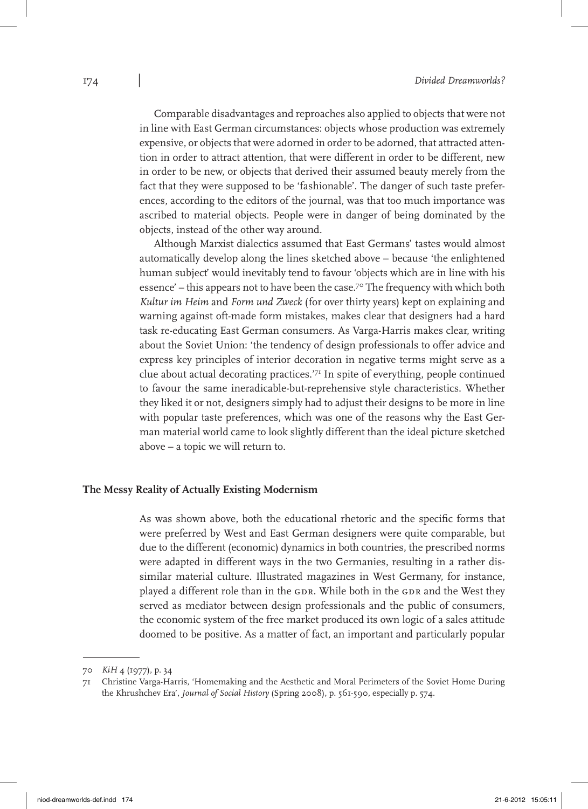Comparable disadvantages and reproaches also applied to objects that were not in line with East German circumstances: objects whose production was extremely expensive, or objects that were adorned in order to be adorned, that attracted attention in order to attract attention, that were different in order to be different, new in order to be new, or objects that derived their assumed beauty merely from the fact that they were supposed to be 'fashionable'. The danger of such taste preferences, according to the editors of the journal, was that too much importance was ascribed to material objects. People were in danger of being dominated by the objects, instead of the other way around.

Although Marxist dialectics assumed that East Germans' tastes would almost automatically develop along the lines sketched above – because 'the enlightened human subject' would inevitably tend to favour 'objects which are in line with his essence' – this appears not to have been the case.70 The frequency with which both *Kultur im Heim* and *Form und Zweck* (for over thirty years) kept on explaining and warning against oft-made form mistakes, makes clear that designers had a hard task re-educating East German consumers. As Varga-Harris makes clear, writing about the Soviet Union: 'the tendency of design professionals to offer advice and express key principles of interior decoration in negative terms might serve as a clue about actual decorating practices.'71 In spite of everything, people continued to favour the same ineradicable-but-reprehensive style characteristics. Whether they liked it or not, designers simply had to adjust their designs to be more in line with popular taste preferences, which was one of the reasons why the East German material world came to look slightly different than the ideal picture sketched above – a topic we will return to.

### **The Messy Reality of Actually Existing Modernism**

As was shown above, both the educational rhetoric and the specific forms that were preferred by West and East German designers were quite comparable, but due to the different (economic) dynamics in both countries, the prescribed norms were adapted in different ways in the two Germanies, resulting in a rather dissimilar material culture. Illustrated magazines in West Germany, for instance, played a different role than in the GDR. While both in the GDR and the West they served as mediator between design professionals and the public of consumers, the economic system of the free market produced its own logic of a sales attitude doomed to be positive. As a matter of fact, an important and particularly popular

<sup>70</sup> *KiH* 4 (1977), p. 34

<sup>71</sup> Christine Varga-Harris, 'Homemaking and the Aesthetic and Moral Perimeters of the Soviet Home During the Khrushchev Era', *Journal of Social History* (Spring 2008), p. 561-590, especially p. 574.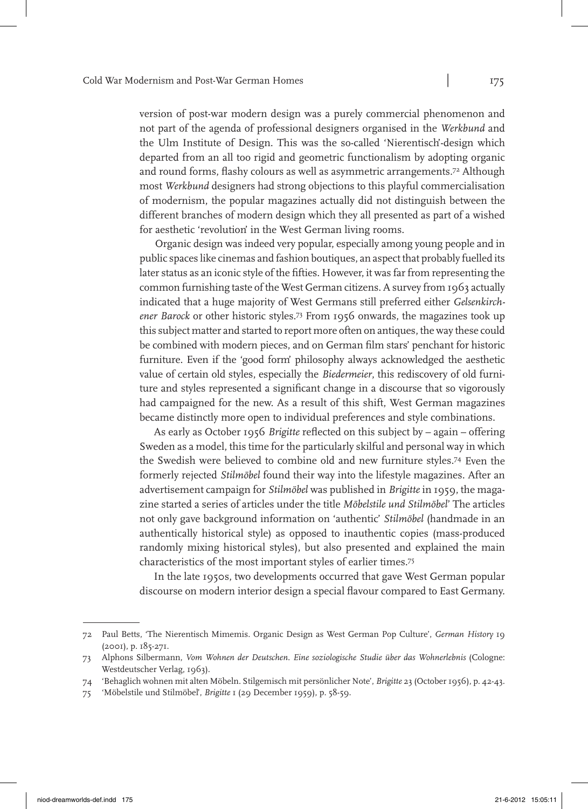version of post-war modern design was a purely commercial phenomenon and not part of the agenda of professional designers organised in the *Werkbund* and the Ulm Institute of Design. This was the so-called 'Nierentisch'-design which departed from an all too rigid and geometric functionalism by adopting organic and round forms, flashy colours as well as asymmetric arrangements.72 Although most *Werkbund* designers had strong objections to this playful commercialisation of modernism, the popular magazines actually did not distinguish between the different branches of modern design which they all presented as part of a wished for aesthetic 'revolution' in the West German living rooms.

Organic design was indeed very popular, especially among young people and in public spaces like cinemas and fashion boutiques, an aspect that probably fuelled its later status as an iconic style of the fifties. However, it was far from representing the common furnishing taste of the West German citizens. A survey from 1963 actually indicated that a huge majority of West Germans still preferred either *Gelsenkirchener Barock* or other historic styles.73 From 1956 onwards, the magazines took up this subject matter and started to report more often on antiques, the way these could be combined with modern pieces, and on German film stars' penchant for historic furniture. Even if the 'good form' philosophy always acknowledged the aesthetic value of certain old styles, especially the *Biedermeier*, this rediscovery of old furniture and styles represented a significant change in a discourse that so vigorously had campaigned for the new. As a result of this shift, West German magazines became distinctly more open to individual preferences and style combinations.

As early as October 1956 *Brigitte* reflected on this subject by – again – offering Sweden as a model, this time for the particularly skilful and personal way in which the Swedish were believed to combine old and new furniture styles.74 Even the formerly rejected *Stilmöbel* found their way into the lifestyle magazines. After an advertisement campaign for *Stilmöbel* was published in *Brigitte* in 1959, the magazine started a series of articles under the title *Möbelstile und Stilmöbel*' The articles not only gave background information on 'authentic' *Stilmöbel* (handmade in an authentically historical style) as opposed to inauthentic copies (mass-produced randomly mixing historical styles), but also presented and explained the main characteristics of the most important styles of earlier times.75

In the late 1950s, two developments occurred that gave West German popular discourse on modern interior design a special flavour compared to East Germany.

<sup>72</sup> Paul Betts, 'The Nierentisch Mimemis. Organic Design as West German Pop Culture', *German History* 19 (2001), p. 185-271.

<sup>73</sup> Alphons Silbermann, *Vom Wohnen der Deutschen. Eine soziologische Studie über das Wohnerlebnis* (Cologne: Westdeutscher Verlag, 1963).

<sup>74</sup> 'Behaglich wohnen mit alten Möbeln. Stilgemisch mit persönlicher Note', *Brigitte* 23 (October 1956), p. 42-43.

<sup>75</sup> 'Möbelstile und Stilmöbel', *Brigitte* 1 (29 December 1959), p. 58-59.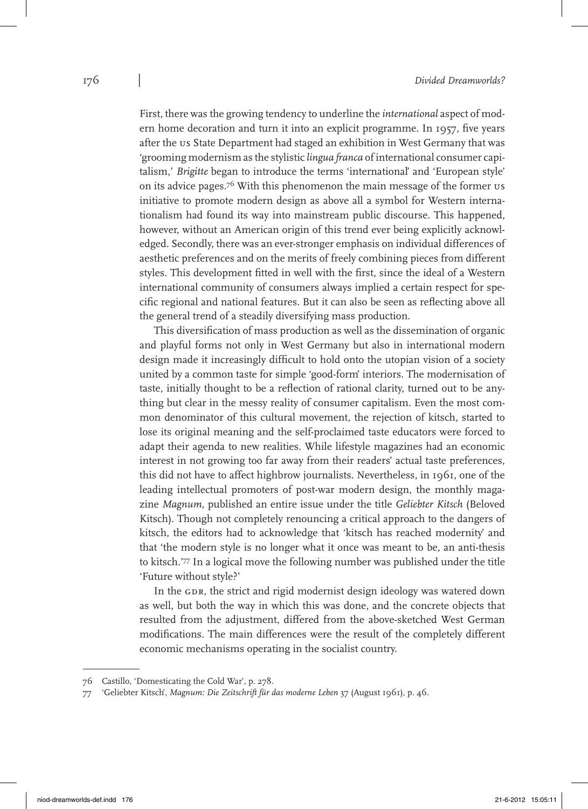First, there was the growing tendency to underline the *international* aspect of modern home decoration and turn it into an explicit programme. In 1957, five years after the us State Department had staged an exhibition in West Germany that was 'grooming modernism as the stylistic *lingua franca* of international consumer capitalism,' *Brigitte* began to introduce the terms 'international' and 'European style' on its advice pages.76 With this phenomenon the main message of the former us initiative to promote modern design as above all a symbol for Western internationalism had found its way into mainstream public discourse. This happened, however, without an American origin of this trend ever being explicitly acknowledged. Secondly, there was an ever-stronger emphasis on individual differences of aesthetic preferences and on the merits of freely combining pieces from different styles. This development fitted in well with the first, since the ideal of a Western international community of consumers always implied a certain respect for specific regional and national features. But it can also be seen as reflecting above all the general trend of a steadily diversifying mass production.

This diversification of mass production as well as the dissemination of organic and playful forms not only in West Germany but also in international modern design made it increasingly difficult to hold onto the utopian vision of a society united by a common taste for simple 'good-form' interiors. The modernisation of taste, initially thought to be a reflection of rational clarity, turned out to be anything but clear in the messy reality of consumer capitalism. Even the most common denominator of this cultural movement, the rejection of kitsch, started to lose its original meaning and the self-proclaimed taste educators were forced to adapt their agenda to new realities. While lifestyle magazines had an economic interest in not growing too far away from their readers' actual taste preferences, this did not have to affect highbrow journalists. Nevertheless, in 1961, one of the leading intellectual promoters of post-war modern design, the monthly magazine *Magnum*, published an entire issue under the title *Geliebter Kitsch* (Beloved Kitsch). Though not completely renouncing a critical approach to the dangers of kitsch, the editors had to acknowledge that 'kitsch has reached modernity' and that 'the modern style is no longer what it once was meant to be, an anti-thesis to kitsch.'77 In a logical move the following number was published under the title 'Future without style?'

In the GDR, the strict and rigid modernist design ideology was watered down as well, but both the way in which this was done, and the concrete objects that resulted from the adjustment, differed from the above-sketched West German modifications. The main differences were the result of the completely different economic mechanisms operating in the socialist country.

<sup>76</sup> Castillo, 'Domesticating the Cold War', p. 278.

<sup>77</sup> 'Geliebter Kitsch', *Magnum: Die Zeitschrift für das moderne Leben* 37 (August 1961), p. 46.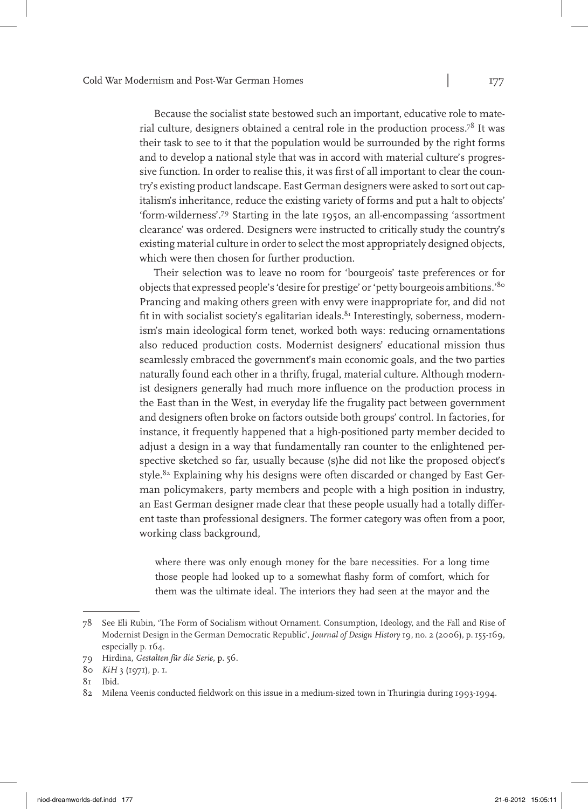Because the socialist state bestowed such an important, educative role to material culture, designers obtained a central role in the production process.78 It was their task to see to it that the population would be surrounded by the right forms and to develop a national style that was in accord with material culture's progressive function. In order to realise this, it was first of all important to clear the country's existing product landscape. East German designers were asked to sort out capitalism's inheritance, reduce the existing variety of forms and put a halt to objects' 'form-wilderness'.79 Starting in the late 1950s, an all-encompassing 'assortment clearance' was ordered. Designers were instructed to critically study the country's existing material culture in order to select the most appropriately designed objects, which were then chosen for further production.

Their selection was to leave no room for 'bourgeois' taste preferences or for objects that expressed people's 'desire for prestige' or 'petty bourgeois ambitions.'80 Prancing and making others green with envy were inappropriate for, and did not fit in with socialist society's egalitarian ideals. $81$  Interestingly, soberness, modernism's main ideological form tenet, worked both ways: reducing ornamentations also reduced production costs. Modernist designers' educational mission thus seamlessly embraced the government's main economic goals, and the two parties naturally found each other in a thrifty, frugal, material culture. Although modernist designers generally had much more influence on the production process in the East than in the West, in everyday life the frugality pact between government and designers often broke on factors outside both groups' control. In factories, for instance, it frequently happened that a high-positioned party member decided to adjust a design in a way that fundamentally ran counter to the enlightened perspective sketched so far, usually because (s)he did not like the proposed object's style.<sup>82</sup> Explaining why his designs were often discarded or changed by East German policymakers, party members and people with a high position in industry, an East German designer made clear that these people usually had a totally different taste than professional designers. The former category was often from a poor, working class background,

where there was only enough money for the bare necessities. For a long time those people had looked up to a somewhat flashy form of comfort, which for them was the ultimate ideal. The interiors they had seen at the mayor and the

<sup>78</sup> See Eli Rubin, 'The Form of Socialism without Ornament. Consumption, Ideology, and the Fall and Rise of Modernist Design in the German Democratic Republic', *Journal of Design History* 19, no. 2 (2006), p. 155-169, especially p. 164.

<sup>79</sup> Hirdina, *Gestalten für die Serie*, p. 56.

<sup>80</sup> *KiH* 3 (1971), p. 1.

<sup>81</sup> Ibid.

<sup>82</sup> Milena Veenis conducted fieldwork on this issue in a medium-sized town in Thuringia during 1993-1994.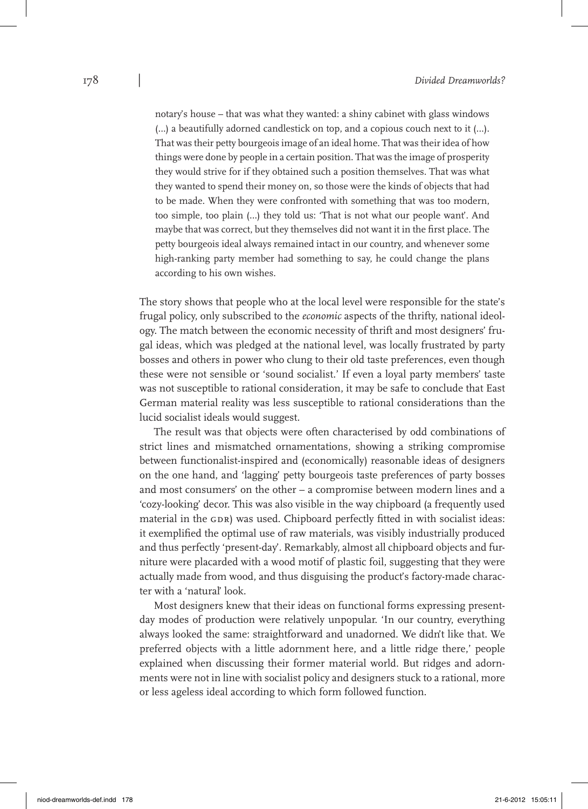notary's house – that was what they wanted: a shiny cabinet with glass windows (…) a beautifully adorned candlestick on top, and a copious couch next to it (…). That was their petty bourgeois image of an ideal home. That was their idea of how things were done by people in a certain position. That was the image of prosperity they would strive for if they obtained such a position themselves. That was what they wanted to spend their money on, so those were the kinds of objects that had to be made. When they were confronted with something that was too modern, too simple, too plain (…) they told us: 'That is not what our people want'. And maybe that was correct, but they themselves did not want it in the first place. The petty bourgeois ideal always remained intact in our country, and whenever some high-ranking party member had something to say, he could change the plans according to his own wishes.

The story shows that people who at the local level were responsible for the state's frugal policy, only subscribed to the *economic* aspects of the thrifty, national ideology. The match between the economic necessity of thrift and most designers' frugal ideas, which was pledged at the national level, was locally frustrated by party bosses and others in power who clung to their old taste preferences, even though these were not sensible or 'sound socialist.' If even a loyal party members' taste was not susceptible to rational consideration, it may be safe to conclude that East German material reality was less susceptible to rational considerations than the lucid socialist ideals would suggest.

The result was that objects were often characterised by odd combinations of strict lines and mismatched ornamentations, showing a striking compromise between functionalist-inspired and (economically) reasonable ideas of designers on the one hand, and 'lagging' petty bourgeois taste preferences of party bosses and most consumers' on the other – a compromise between modern lines and a 'cozy-looking' decor. This was also visible in the way chipboard (a frequently used material in the GDR) was used. Chipboard perfectly fitted in with socialist ideas: it exemplified the optimal use of raw materials, was visibly industrially produced and thus perfectly 'present-day'. Remarkably, almost all chipboard objects and furniture were placarded with a wood motif of plastic foil, suggesting that they were actually made from wood, and thus disguising the product's factory-made character with a 'natural' look.

Most designers knew that their ideas on functional forms expressing presentday modes of production were relatively unpopular. 'In our country, everything always looked the same: straightforward and unadorned. We didn't like that. We preferred objects with a little adornment here, and a little ridge there,' people explained when discussing their former material world. But ridges and adornments were not in line with socialist policy and designers stuck to a rational, more or less ageless ideal according to which form followed function.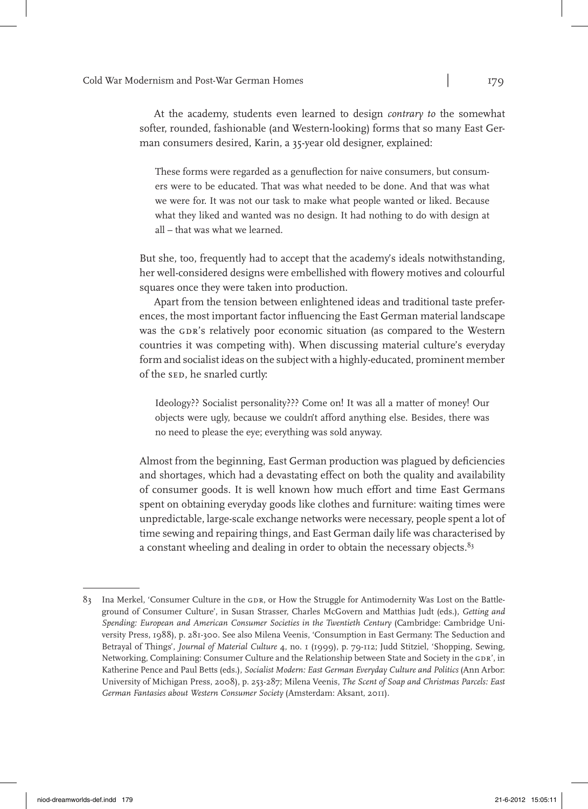At the academy, students even learned to design *contrary to* the somewhat softer, rounded, fashionable (and Western-looking) forms that so many East German consumers desired, Karin, a 35-year old designer, explained:

These forms were regarded as a genuflection for naive consumers, but consumers were to be educated. That was what needed to be done. And that was what we were for. It was not our task to make what people wanted or liked. Because what they liked and wanted was no design. It had nothing to do with design at all – that was what we learned.

But she, too, frequently had to accept that the academy's ideals notwithstanding, her well-considered designs were embellished with flowery motives and colourful squares once they were taken into production.

Apart from the tension between enlightened ideas and traditional taste preferences, the most important factor influencing the East German material landscape was the GDR's relatively poor economic situation (as compared to the Western countries it was competing with). When discussing material culture's everyday form and socialist ideas on the subject with a highly-educated, prominent member of the sED, he snarled curtly:

Ideology?? Socialist personality??? Come on! It was all a matter of money! Our objects were ugly, because we couldn't afford anything else. Besides, there was no need to please the eye; everything was sold anyway.

Almost from the beginning, East German production was plagued by deficiencies and shortages, which had a devastating effect on both the quality and availability of consumer goods. It is well known how much effort and time East Germans spent on obtaining everyday goods like clothes and furniture: waiting times were unpredictable, large-scale exchange networks were necessary, people spent a lot of time sewing and repairing things, and East German daily life was characterised by a constant wheeling and dealing in order to obtain the necessary objects. $8<sup>3</sup>$ 

<sup>83</sup> Ina Merkel, 'Consumer Culture in the GDR, or How the Struggle for Antimodernity Was Lost on the Battleground of Consumer Culture', in Susan Strasser, Charles McGovern and Matthias Judt (eds.), *Getting and Spending: European and American Consumer Societies in the Twentieth Century* (Cambridge: Cambridge University Press, 1988), p. 281-300. See also Milena Veenis, 'Consumption in East Germany: The Seduction and Betrayal of Things', *Journal of Material Culture* 4, no. 1 (1999), p. 79-112; Judd Stitziel, 'Shopping, Sewing, Networking, Complaining: Consumer Culture and the Relationship between State and Society in the GDR', in Katherine Pence and Paul Betts (eds.), *Socialist Modern: East German Everyday Culture and Politics* (Ann Arbor: University of Michigan Press, 2008), p. 253-287; Milena Veenis, *The Scent of Soap and Christmas Parcels: East German Fantasies about Western Consumer Society* (Amsterdam: Aksant, 2011).